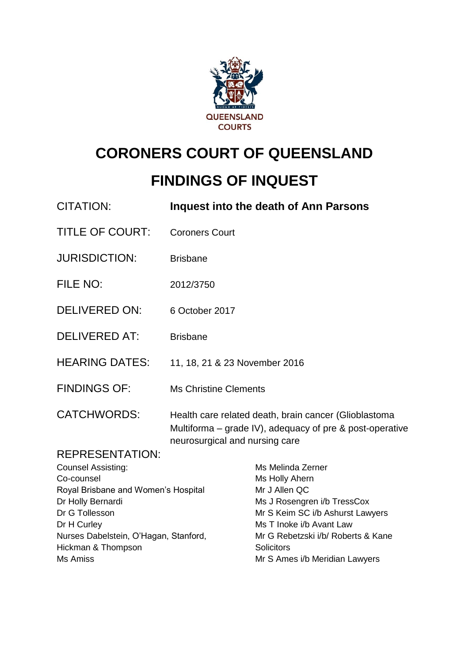

# **CORONERS COURT OF QUEENSLAND**

# **FINDINGS OF INQUEST**

| <b>CITATION:</b>                      |                                | Inquest into the death of Ann Parsons                                                                               |
|---------------------------------------|--------------------------------|---------------------------------------------------------------------------------------------------------------------|
| <b>TITLE OF COURT:</b>                | <b>Coroners Court</b>          |                                                                                                                     |
| <b>JURISDICTION:</b>                  | <b>Brisbane</b>                |                                                                                                                     |
| FILE NO:                              | 2012/3750                      |                                                                                                                     |
| <b>DELIVERED ON:</b>                  | 6 October 2017                 |                                                                                                                     |
| <b>DELIVERED AT:</b>                  | <b>Brisbane</b>                |                                                                                                                     |
| <b>HEARING DATES:</b>                 | 11, 18, 21 & 23 November 2016  |                                                                                                                     |
| <b>FINDINGS OF:</b>                   | <b>Ms Christine Clements</b>   |                                                                                                                     |
| <b>CATCHWORDS:</b>                    | neurosurgical and nursing care | Health care related death, brain cancer (Glioblastoma<br>Multiforma $-$ grade IV), adequacy of pre & post-operative |
| <b>REPRESENTATION:</b>                |                                |                                                                                                                     |
| <b>Counsel Assisting:</b>             |                                | Ms Melinda Zerner                                                                                                   |
| Co-counsel                            |                                | Ms Holly Ahern                                                                                                      |
| Royal Brisbane and Women's Hospital   |                                | Mr J Allen QC                                                                                                       |
| Dr Holly Bernardi<br>Dr G Tollesson   |                                | Ms J Rosengren i/b TressCox<br>Mr S Keim SC i/b Ashurst Lawyers                                                     |
| Dr H Curley                           |                                | Ms T Inoke i/b Avant Law                                                                                            |
| Nurses Dabelstein, O'Hagan, Stanford, |                                | Mr G Rebetzski i/b/ Roberts & Kane                                                                                  |
| Hickman & Thompson                    |                                | Solicitors                                                                                                          |
| <b>Ms Amiss</b>                       |                                | Mr S Ames i/b Meridian Lawyers                                                                                      |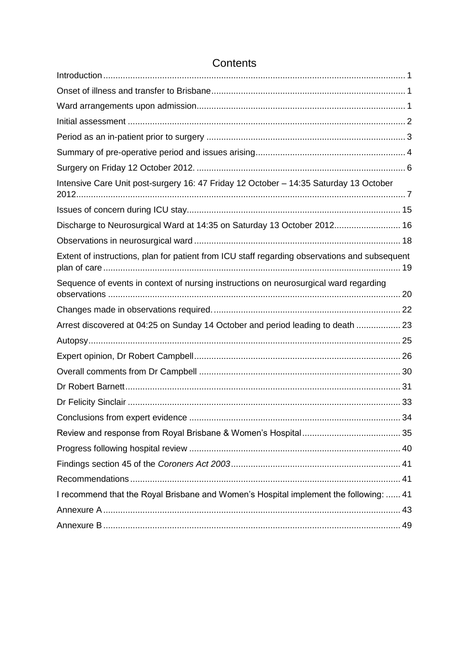| Intensive Care Unit post-surgery 16: 47 Friday 12 October - 14:35 Saturday 13 October         |  |
|-----------------------------------------------------------------------------------------------|--|
|                                                                                               |  |
| Discharge to Neurosurgical Ward at 14:35 on Saturday 13 October 2012 16                       |  |
|                                                                                               |  |
| Extent of instructions, plan for patient from ICU staff regarding observations and subsequent |  |
| Sequence of events in context of nursing instructions on neurosurgical ward regarding         |  |
|                                                                                               |  |
| Arrest discovered at 04:25 on Sunday 14 October and period leading to death  23               |  |
|                                                                                               |  |
|                                                                                               |  |
|                                                                                               |  |
|                                                                                               |  |
|                                                                                               |  |
|                                                                                               |  |
|                                                                                               |  |
|                                                                                               |  |
|                                                                                               |  |
|                                                                                               |  |
| I recommend that the Royal Brisbane and Women's Hospital implement the following:  41         |  |
|                                                                                               |  |
|                                                                                               |  |

### **Contents**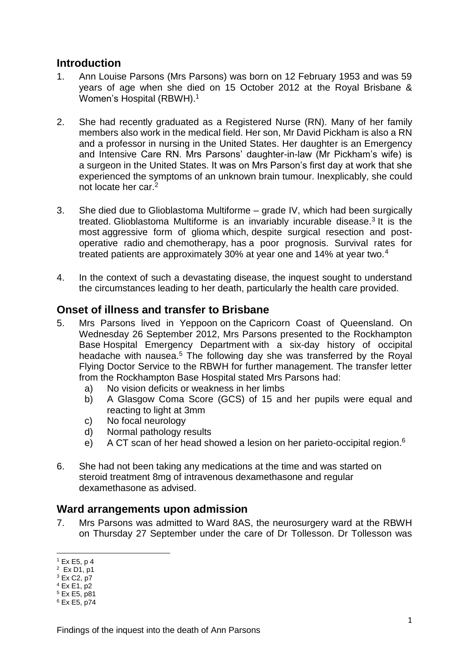### <span id="page-2-0"></span>**Introduction**

- 1. Ann Louise Parsons (Mrs Parsons) was born on 12 February 1953 and was 59 years of age when she died on 15 October 2012 at the Royal Brisbane & Women's Hospital (RBWH).<sup>1</sup>
- 2. She had recently graduated as a Registered Nurse (RN). Many of her family members also work in the medical field. Her son, Mr David Pickham is also a RN and a professor in nursing in the United States. Her daughter is an Emergency and Intensive Care RN. Mrs Parsons' daughter-in-law (Mr Pickham's wife) is a surgeon in the United States. It was on Mrs Parson's first day at work that she experienced the symptoms of an unknown brain tumour. Inexplicably, she could not locate her car.<sup>2</sup>
- 3. She died due to Glioblastoma Multiforme grade IV, which had been surgically treated. Glioblastoma Multiforme is an invariably incurable disease.<sup>3</sup> It is the most aggressive form of glioma which, despite surgical resection and postoperative radio and chemotherapy, has a poor prognosis. Survival rates for treated patients are approximately 30% at year one and 14% at year two.<sup>4</sup>
- 4. In the context of such a devastating disease, the inquest sought to understand the circumstances leading to her death, particularly the health care provided.

### <span id="page-2-1"></span>**Onset of illness and transfer to Brisbane**

- 5. Mrs Parsons lived in Yeppoon on the Capricorn Coast of Queensland. On Wednesday 26 September 2012, Mrs Parsons presented to the Rockhampton Base Hospital Emergency Department with a six-day history of occipital headache with nausea.<sup>5</sup> The following day she was transferred by the Royal Flying Doctor Service to the RBWH for further management. The transfer letter from the Rockhampton Base Hospital stated Mrs Parsons had:
	- a) No vision deficits or weakness in her limbs
	- b) A Glasgow Coma Score (GCS) of 15 and her pupils were equal and reacting to light at 3mm
	- c) No focal neurology
	- d) Normal pathology results
	- e) A CT scan of her head showed a lesion on her parieto-occipital region.<sup>6</sup>
- 6. She had not been taking any medications at the time and was started on steroid treatment 8mg of intravenous dexamethasone and regular dexamethasone as advised.

### <span id="page-2-2"></span>**Ward arrangements upon admission**

7. Mrs Parsons was admitted to Ward 8AS, the neurosurgery ward at the RBWH on Thursday 27 September under the care of Dr Tollesson. Dr Tollesson was

 $\overline{a}$ 

 $1$  Ex E5, p 4

 $2 Ex D1, p1$ 

 $3$  Ex C<sub>2</sub>, p7  $4$  Ex E1, p2

<sup>5</sup> Ex E5, p81

<sup>6</sup> Ex E5, p74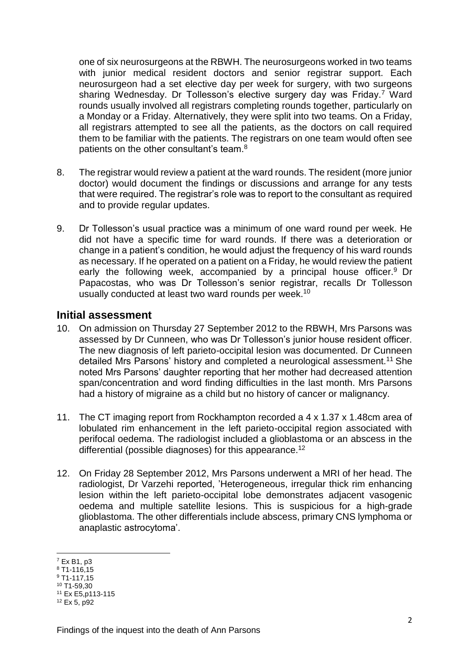one of six neurosurgeons at the RBWH. The neurosurgeons worked in two teams with junior medical resident doctors and senior registrar support. Each neurosurgeon had a set elective day per week for surgery, with two surgeons sharing Wednesday. Dr Tollesson's elective surgery day was Friday.<sup>7</sup> Ward rounds usually involved all registrars completing rounds together, particularly on a Monday or a Friday. Alternatively, they were split into two teams. On a Friday, all registrars attempted to see all the patients, as the doctors on call required them to be familiar with the patients. The registrars on one team would often see patients on the other consultant's team.<sup>8</sup>

- 8. The registrar would review a patient at the ward rounds. The resident (more junior doctor) would document the findings or discussions and arrange for any tests that were required. The registrar's role was to report to the consultant as required and to provide regular updates.
- 9. Dr Tollesson's usual practice was a minimum of one ward round per week. He did not have a specific time for ward rounds. If there was a deterioration or change in a patient's condition, he would adjust the frequency of his ward rounds as necessary. If he operated on a patient on a Friday, he would review the patient early the following week, accompanied by a principal house officer.<sup>9</sup> Dr Papacostas, who was Dr Tollesson's senior registrar, recalls Dr Tollesson usually conducted at least two ward rounds per week.<sup>10</sup>

### <span id="page-3-0"></span>**Initial assessment**

- 10. On admission on Thursday 27 September 2012 to the RBWH, Mrs Parsons was assessed by Dr Cunneen, who was Dr Tollesson's junior house resident officer. The new diagnosis of left parieto-occipital lesion was documented. Dr Cunneen detailed Mrs Parsons' history and completed a neurological assessment.<sup>11</sup> She noted Mrs Parsons' daughter reporting that her mother had decreased attention span/concentration and word finding difficulties in the last month. Mrs Parsons had a history of migraine as a child but no history of cancer or malignancy.
- 11. The CT imaging report from Rockhampton recorded a 4 x 1.37 x 1.48cm area of lobulated rim enhancement in the left parieto-occipital region associated with perifocal oedema. The radiologist included a glioblastoma or an abscess in the differential (possible diagnoses) for this appearance.<sup>12</sup>
- 12. On Friday 28 September 2012, Mrs Parsons underwent a MRI of her head. The radiologist, Dr Varzehi reported, 'Heterogeneous, irregular thick rim enhancing lesion within the left parieto-occipital lobe demonstrates adjacent vasogenic oedema and multiple satellite lesions. This is suspicious for a high-grade glioblastoma. The other differentials include abscess, primary CNS lymphoma or anaplastic astrocytoma'.

 $\overline{a}$ 

<sup>7</sup> Ex B1, p3

 $8$  T1-116.15

 $9$  T<sub>1</sub>-117.15

<sup>10</sup> T1-59,30 <sup>11</sup> Ex E5,p113-115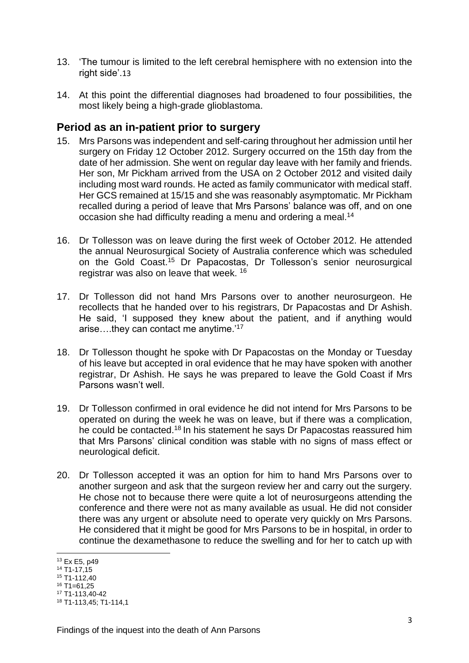- 13. 'The tumour is limited to the left cerebral hemisphere with no extension into the right side'.13
- 14. At this point the differential diagnoses had broadened to four possibilities, the most likely being a high-grade glioblastoma.

### <span id="page-4-0"></span>**Period as an in-patient prior to surgery**

- 15. Mrs Parsons was independent and self-caring throughout her admission until her surgery on Friday 12 October 2012. Surgery occurred on the 15th day from the date of her admission. She went on regular day leave with her family and friends. Her son, Mr Pickham arrived from the USA on 2 October 2012 and visited daily including most ward rounds. He acted as family communicator with medical staff. Her GCS remained at 15/15 and she was reasonably asymptomatic. Mr Pickham recalled during a period of leave that Mrs Parsons' balance was off, and on one occasion she had difficulty reading a menu and ordering a meal.<sup>14</sup>
- 16. Dr Tollesson was on leave during the first week of October 2012. He attended the annual Neurosurgical Society of Australia conference which was scheduled on the Gold Coast.<sup>15</sup> Dr Papacostas, Dr Tollesson's senior neurosurgical registrar was also on leave that week. <sup>16</sup>
- 17. Dr Tollesson did not hand Mrs Parsons over to another neurosurgeon. He recollects that he handed over to his registrars, Dr Papacostas and Dr Ashish. He said, 'I supposed they knew about the patient, and if anything would arise….they can contact me anytime.'<sup>17</sup>
- 18. Dr Tollesson thought he spoke with Dr Papacostas on the Monday or Tuesday of his leave but accepted in oral evidence that he may have spoken with another registrar, Dr Ashish. He says he was prepared to leave the Gold Coast if Mrs Parsons wasn't well.
- 19. Dr Tollesson confirmed in oral evidence he did not intend for Mrs Parsons to be operated on during the week he was on leave, but if there was a complication, he could be contacted.<sup>18</sup> In his statement he says Dr Papacostas reassured him that Mrs Parsons' clinical condition was stable with no signs of mass effect or neurological deficit.
- 20. Dr Tollesson accepted it was an option for him to hand Mrs Parsons over to another surgeon and ask that the surgeon review her and carry out the surgery. He chose not to because there were quite a lot of neurosurgeons attending the conference and there were not as many available as usual. He did not consider there was any urgent or absolute need to operate very quickly on Mrs Parsons. He considered that it might be good for Mrs Parsons to be in hospital, in order to continue the dexamethasone to reduce the swelling and for her to catch up with

- $15$  T1-112,40
- $16$  T<sub>1=61.25</sub> <sup>17</sup> T1-113,40-42

 $\overline{a}$ <sup>13</sup> Ex E5, p49

<sup>14</sup> T1-17,15

<sup>18</sup> T1-113,45; T1-114,1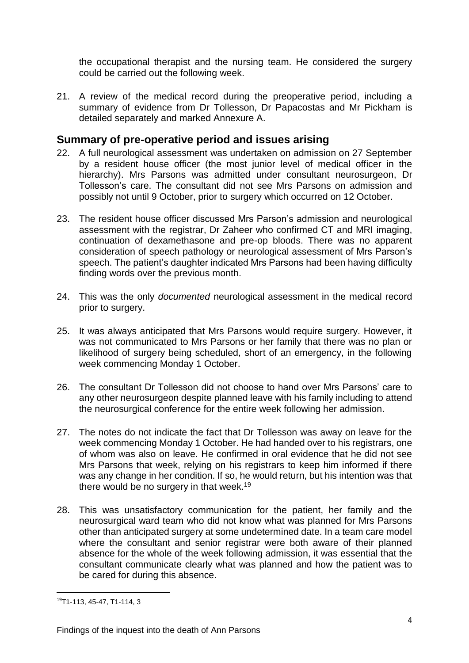the occupational therapist and the nursing team. He considered the surgery could be carried out the following week.

21. A review of the medical record during the preoperative period, including a summary of evidence from Dr Tollesson, Dr Papacostas and Mr Pickham is detailed separately and marked Annexure A.

### <span id="page-5-0"></span>**Summary of pre-operative period and issues arising**

- 22. A full neurological assessment was undertaken on admission on 27 September by a resident house officer (the most junior level of medical officer in the hierarchy). Mrs Parsons was admitted under consultant neurosurgeon, Dr Tollesson's care. The consultant did not see Mrs Parsons on admission and possibly not until 9 October, prior to surgery which occurred on 12 October.
- 23. The resident house officer discussed Mrs Parson's admission and neurological assessment with the registrar, Dr Zaheer who confirmed CT and MRI imaging, continuation of dexamethasone and pre-op bloods. There was no apparent consideration of speech pathology or neurological assessment of Mrs Parson's speech. The patient's daughter indicated Mrs Parsons had been having difficulty finding words over the previous month.
- 24. This was the only *documented* neurological assessment in the medical record prior to surgery.
- 25. It was always anticipated that Mrs Parsons would require surgery. However, it was not communicated to Mrs Parsons or her family that there was no plan or likelihood of surgery being scheduled, short of an emergency, in the following week commencing Monday 1 October.
- 26. The consultant Dr Tollesson did not choose to hand over Mrs Parsons' care to any other neurosurgeon despite planned leave with his family including to attend the neurosurgical conference for the entire week following her admission.
- 27. The notes do not indicate the fact that Dr Tollesson was away on leave for the week commencing Monday 1 October. He had handed over to his registrars, one of whom was also on leave. He confirmed in oral evidence that he did not see Mrs Parsons that week, relying on his registrars to keep him informed if there was any change in her condition. If so, he would return, but his intention was that there would be no surgery in that week.<sup>19</sup>
- 28. This was unsatisfactory communication for the patient, her family and the neurosurgical ward team who did not know what was planned for Mrs Parsons other than anticipated surgery at some undetermined date. In a team care model where the consultant and senior registrar were both aware of their planned absence for the whole of the week following admission, it was essential that the consultant communicate clearly what was planned and how the patient was to be cared for during this absence.

<sup>19</sup>T1-113, 45-47, T1-114, 3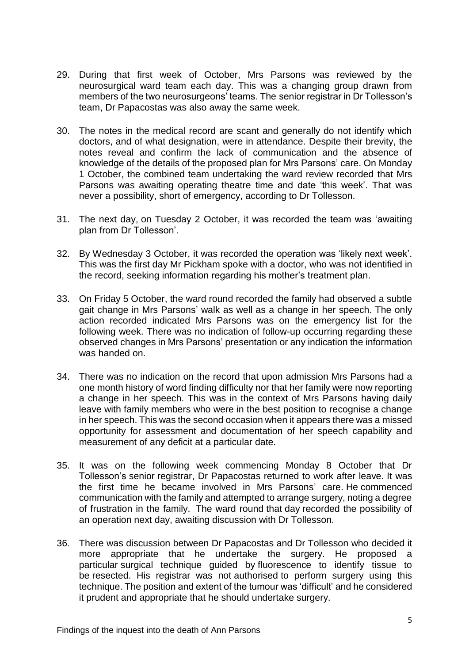- 29. During that first week of October, Mrs Parsons was reviewed by the neurosurgical ward team each day. This was a changing group drawn from members of the two neurosurgeons' teams. The senior registrar in Dr Tollesson's team, Dr Papacostas was also away the same week.
- 30. The notes in the medical record are scant and generally do not identify which doctors, and of what designation, were in attendance. Despite their brevity, the notes reveal and confirm the lack of communication and the absence of knowledge of the details of the proposed plan for Mrs Parsons' care. On Monday 1 October, the combined team undertaking the ward review recorded that Mrs Parsons was awaiting operating theatre time and date 'this week'. That was never a possibility, short of emergency, according to Dr Tollesson.
- 31. The next day, on Tuesday 2 October, it was recorded the team was 'awaiting plan from Dr Tollesson'.
- 32. By Wednesday 3 October, it was recorded the operation was 'likely next week'. This was the first day Mr Pickham spoke with a doctor, who was not identified in the record, seeking information regarding his mother's treatment plan.
- 33. On Friday 5 October, the ward round recorded the family had observed a subtle gait change in Mrs Parsons' walk as well as a change in her speech. The only action recorded indicated Mrs Parsons was on the emergency list for the following week. There was no indication of follow-up occurring regarding these observed changes in Mrs Parsons' presentation or any indication the information was handed on.
- 34. There was no indication on the record that upon admission Mrs Parsons had a one month history of word finding difficulty nor that her family were now reporting a change in her speech. This was in the context of Mrs Parsons having daily leave with family members who were in the best position to recognise a change in her speech. This was the second occasion when it appears there was a missed opportunity for assessment and documentation of her speech capability and measurement of any deficit at a particular date.
- 35. It was on the following week commencing Monday 8 October that Dr Tollesson's senior registrar, Dr Papacostas returned to work after leave. It was the first time he became involved in Mrs Parsons' care. He commenced communication with the family and attempted to arrange surgery, noting a degree of frustration in the family. The ward round that day recorded the possibility of an operation next day, awaiting discussion with Dr Tollesson.
- 36. There was discussion between Dr Papacostas and Dr Tollesson who decided it more appropriate that he undertake the surgery. He proposed a particular surgical technique guided by fluorescence to identify tissue to be resected. His registrar was not authorised to perform surgery using this technique. The position and extent of the tumour was 'difficult' and he considered it prudent and appropriate that he should undertake surgery.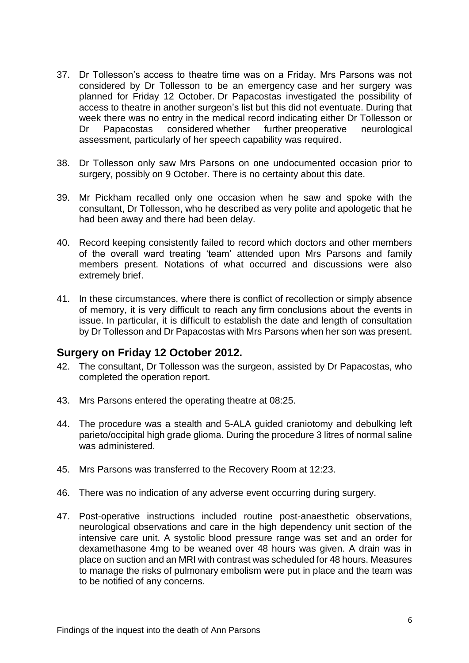- 37. Dr Tollesson's access to theatre time was on a Friday. Mrs Parsons was not considered by Dr Tollesson to be an emergency case and her surgery was planned for Friday 12 October. Dr Papacostas investigated the possibility of access to theatre in another surgeon's list but this did not eventuate. During that week there was no entry in the medical record indicating either Dr Tollesson or Dr Papacostas considered whether further preoperative neurological assessment, particularly of her speech capability was required.
- 38. Dr Tollesson only saw Mrs Parsons on one undocumented occasion prior to surgery, possibly on 9 October. There is no certainty about this date.
- 39. Mr Pickham recalled only one occasion when he saw and spoke with the consultant, Dr Tollesson, who he described as very polite and apologetic that he had been away and there had been delay.
- 40. Record keeping consistently failed to record which doctors and other members of the overall ward treating 'team' attended upon Mrs Parsons and family members present. Notations of what occurred and discussions were also extremely brief.
- 41. In these circumstances, where there is conflict of recollection or simply absence of memory, it is very difficult to reach any firm conclusions about the events in issue. In particular, it is difficult to establish the date and length of consultation by Dr Tollesson and Dr Papacostas with Mrs Parsons when her son was present.

### <span id="page-7-0"></span>**Surgery on Friday 12 October 2012.**

- 42. The consultant, Dr Tollesson was the surgeon, assisted by Dr Papacostas, who completed the operation report.
- 43. Mrs Parsons entered the operating theatre at 08:25.
- 44. The procedure was a stealth and 5-ALA guided craniotomy and debulking left parieto/occipital high grade glioma. During the procedure 3 litres of normal saline was administered.
- 45. Mrs Parsons was transferred to the Recovery Room at 12:23.
- 46. There was no indication of any adverse event occurring during surgery.
- 47. Post-operative instructions included routine post-anaesthetic observations, neurological observations and care in the high dependency unit section of the intensive care unit. A systolic blood pressure range was set and an order for dexamethasone 4mg to be weaned over 48 hours was given. A drain was in place on suction and an MRI with contrast was scheduled for 48 hours. Measures to manage the risks of pulmonary embolism were put in place and the team was to be notified of any concerns.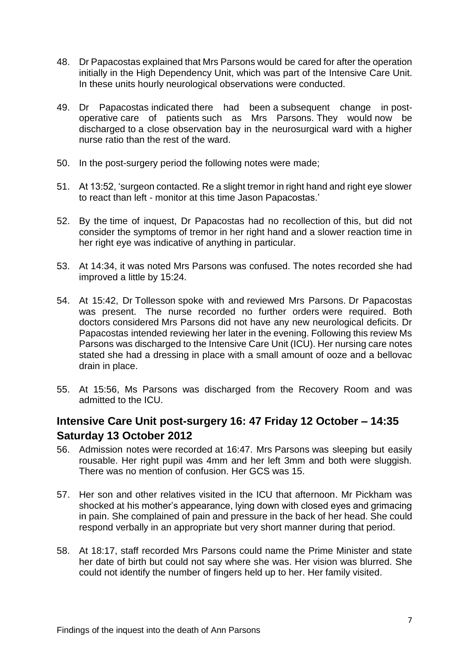- 48. Dr Papacostas explained that Mrs Parsons would be cared for after the operation initially in the High Dependency Unit, which was part of the Intensive Care Unit. In these units hourly neurological observations were conducted.
- 49. Dr Papacostas indicated there had been a subsequent change in postoperative care of patients such as Mrs Parsons. They would now be discharged to a close observation bay in the neurosurgical ward with a higher nurse ratio than the rest of the ward.
- 50. In the post-surgery period the following notes were made;
- 51. At 13:52, 'surgeon contacted. Re a slight tremor in right hand and right eye slower to react than left - monitor at this time Jason Papacostas.'
- 52. By the time of inquest, Dr Papacostas had no recollection of this, but did not consider the symptoms of tremor in her right hand and a slower reaction time in her right eye was indicative of anything in particular.
- 53. At 14:34, it was noted Mrs Parsons was confused. The notes recorded she had improved a little by 15:24.
- 54. At 15:42, Dr Tollesson spoke with and reviewed Mrs Parsons. Dr Papacostas was present. The nurse recorded no further orders were required. Both doctors considered Mrs Parsons did not have any new neurological deficits. Dr Papacostas intended reviewing her later in the evening. Following this review Ms Parsons was discharged to the Intensive Care Unit (ICU). Her nursing care notes stated she had a dressing in place with a small amount of ooze and a bellovac drain in place.
- 55. At 15:56, Ms Parsons was discharged from the Recovery Room and was admitted to the ICU.

## <span id="page-8-0"></span>**Intensive Care Unit post-surgery 16: 47 Friday 12 October – 14:35 Saturday 13 October 2012**

- 56. Admission notes were recorded at 16:47. Mrs Parsons was sleeping but easily rousable. Her right pupil was 4mm and her left 3mm and both were sluggish. There was no mention of confusion. Her GCS was 15.
- 57. Her son and other relatives visited in the ICU that afternoon. Mr Pickham was shocked at his mother's appearance, lying down with closed eyes and grimacing in pain. She complained of pain and pressure in the back of her head. She could respond verbally in an appropriate but very short manner during that period.
- 58. At 18:17, staff recorded Mrs Parsons could name the Prime Minister and state her date of birth but could not say where she was. Her vision was blurred. She could not identify the number of fingers held up to her. Her family visited.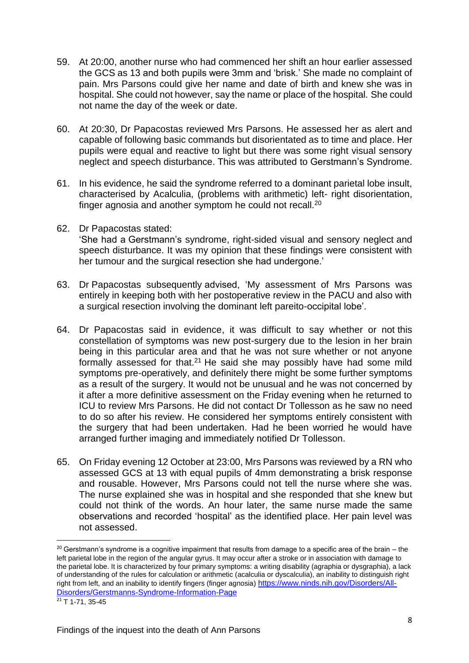- 59. At 20:00, another nurse who had commenced her shift an hour earlier assessed the GCS as 13 and both pupils were 3mm and 'brisk.' She made no complaint of pain. Mrs Parsons could give her name and date of birth and knew she was in hospital. She could not however, say the name or place of the hospital. She could not name the day of the week or date.
- 60. At 20:30, Dr Papacostas reviewed Mrs Parsons. He assessed her as alert and capable of following basic commands but disorientated as to time and place. Her pupils were equal and reactive to light but there was some right visual sensory neglect and speech disturbance. This was attributed to Gerstmann's Syndrome.
- 61. In his evidence, he said the syndrome referred to a dominant parietal lobe insult, characterised by Acalculia, (problems with arithmetic) left- right disorientation, finger agnosia and another symptom he could not recall.<sup>20</sup>
- 62. Dr Papacostas stated:

'She had a Gerstmann's syndrome, right-sided visual and sensory neglect and speech disturbance. It was my opinion that these findings were consistent with her tumour and the surgical resection she had undergone.'

- 63. Dr Papacostas subsequently advised, 'My assessment of Mrs Parsons was entirely in keeping both with her postoperative review in the PACU and also with a surgical resection involving the dominant left pareito-occipital lobe'.
- 64. Dr Papacostas said in evidence, it was difficult to say whether or not this constellation of symptoms was new post-surgery due to the lesion in her brain being in this particular area and that he was not sure whether or not anyone formally assessed for that.<sup>21</sup> He said she may possibly have had some mild symptoms pre-operatively, and definitely there might be some further symptoms as a result of the surgery. It would not be unusual and he was not concerned by it after a more definitive assessment on the Friday evening when he returned to ICU to review Mrs Parsons. He did not contact Dr Tollesson as he saw no need to do so after his review. He considered her symptoms entirely consistent with the surgery that had been undertaken. Had he been worried he would have arranged further imaging and immediately notified Dr Tollesson.
- 65. On Friday evening 12 October at 23:00, Mrs Parsons was reviewed by a RN who assessed GCS at 13 with equal pupils of 4mm demonstrating a brisk response and rousable. However, Mrs Parsons could not tell the nurse where she was. The nurse explained she was in hospital and she responded that she knew but could not think of the words. An hour later, the same nurse made the same observations and recorded 'hospital' as the identified place. Her pain level was not assessed.

 $20$  Gerstmann's syndrome is a cognitive impairment that results from damage to a specific area of the brain – the left parietal lobe in the region of the angular gyrus. It may occur after a stroke or in association with damage to the parietal lobe. It is characterized by four primary symptoms: a writing disability (agraphia or dysgraphia), a lack of understanding of the rules for calculation or arithmetic (acalculia or dyscalculia), an inability to distinguish right right from left, and an inability to identify fingers (finger agnosia) [https://www.ninds.nih.gov/Disorders/All-](https://www.ninds.nih.gov/Disorders/All-Disorders/Gerstmanns-Syndrome-Information-Page)[Disorders/Gerstmanns-Syndrome-Information-Page](https://www.ninds.nih.gov/Disorders/All-Disorders/Gerstmanns-Syndrome-Information-Page)  $21$  T 1-71, 35-45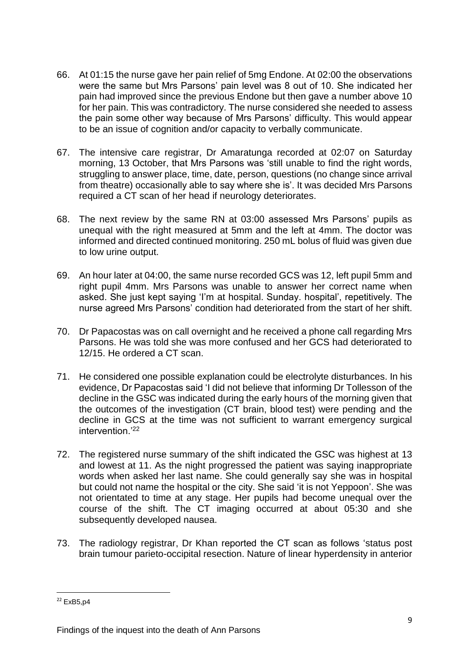- 66. At 01:15 the nurse gave her pain relief of 5mg Endone. At 02:00 the observations were the same but Mrs Parsons' pain level was 8 out of 10. She indicated her pain had improved since the previous Endone but then gave a number above 10 for her pain. This was contradictory. The nurse considered she needed to assess the pain some other way because of Mrs Parsons' difficulty. This would appear to be an issue of cognition and/or capacity to verbally communicate.
- 67. The intensive care registrar, Dr Amaratunga recorded at 02:07 on Saturday morning, 13 October, that Mrs Parsons was 'still unable to find the right words, struggling to answer place, time, date, person, questions (no change since arrival from theatre) occasionally able to say where she is'. It was decided Mrs Parsons required a CT scan of her head if neurology deteriorates.
- 68. The next review by the same RN at 03:00 assessed Mrs Parsons' pupils as unequal with the right measured at 5mm and the left at 4mm. The doctor was informed and directed continued monitoring. 250 mL bolus of fluid was given due to low urine output.
- 69. An hour later at 04:00, the same nurse recorded GCS was 12, left pupil 5mm and right pupil 4mm. Mrs Parsons was unable to answer her correct name when asked. She just kept saying 'I'm at hospital. Sunday. hospital', repetitively. The nurse agreed Mrs Parsons' condition had deteriorated from the start of her shift.
- 70. Dr Papacostas was on call overnight and he received a phone call regarding Mrs Parsons. He was told she was more confused and her GCS had deteriorated to 12/15. He ordered a CT scan.
- 71. He considered one possible explanation could be electrolyte disturbances. In his evidence, Dr Papacostas said 'I did not believe that informing Dr Tollesson of the decline in the GSC was indicated during the early hours of the morning given that the outcomes of the investigation (CT brain, blood test) were pending and the decline in GCS at the time was not sufficient to warrant emergency surgical intervention.'<sup>22</sup>
- 72. The registered nurse summary of the shift indicated the GSC was highest at 13 and lowest at 11. As the night progressed the patient was saying inappropriate words when asked her last name. She could generally say she was in hospital but could not name the hospital or the city. She said 'it is not Yeppoon'. She was not orientated to time at any stage. Her pupils had become unequal over the course of the shift. The CT imaging occurred at about 05:30 and she subsequently developed nausea.
- 73. The radiology registrar, Dr Khan reported the CT scan as follows 'status post brain tumour parieto-occipital resection. Nature of linear hyperdensity in anterior

 $22$  ExB<sub>5</sub>.p4

Findings of the inquest into the death of Ann Parsons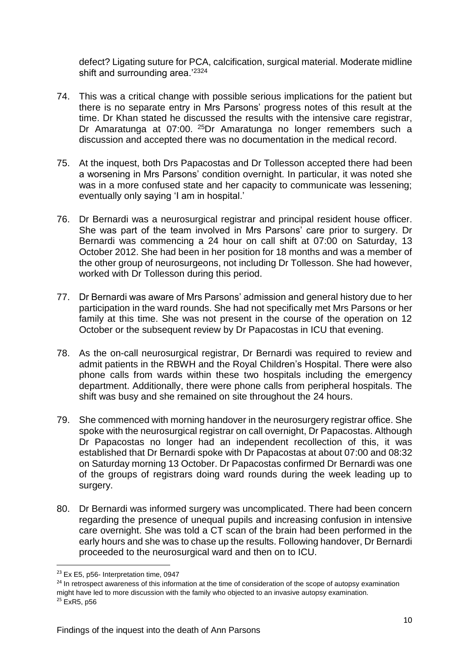defect? Ligating suture for PCA, calcification, surgical material. Moderate midline shift and surrounding area.'2324

- 74. This was a critical change with possible serious implications for the patient but there is no separate entry in Mrs Parsons' progress notes of this result at the time. Dr Khan stated he discussed the results with the intensive care registrar, Dr Amaratunga at 07:00. <sup>25</sup>Dr Amaratunga no longer remembers such a discussion and accepted there was no documentation in the medical record.
- 75. At the inquest, both Drs Papacostas and Dr Tollesson accepted there had been a worsening in Mrs Parsons' condition overnight. In particular, it was noted she was in a more confused state and her capacity to communicate was lessening; eventually only saying 'I am in hospital.'
- 76. Dr Bernardi was a neurosurgical registrar and principal resident house officer. She was part of the team involved in Mrs Parsons' care prior to surgery. Dr Bernardi was commencing a 24 hour on call shift at 07:00 on Saturday, 13 October 2012. She had been in her position for 18 months and was a member of the other group of neurosurgeons, not including Dr Tollesson. She had however, worked with Dr Tollesson during this period.
- 77. Dr Bernardi was aware of Mrs Parsons' admission and general history due to her participation in the ward rounds. She had not specifically met Mrs Parsons or her family at this time. She was not present in the course of the operation on 12 October or the subsequent review by Dr Papacostas in ICU that evening.
- 78. As the on-call neurosurgical registrar, Dr Bernardi was required to review and admit patients in the RBWH and the Royal Children's Hospital. There were also phone calls from wards within these two hospitals including the emergency department. Additionally, there were phone calls from peripheral hospitals. The shift was busy and she remained on site throughout the 24 hours.
- 79. She commenced with morning handover in the neurosurgery registrar office. She spoke with the neurosurgical registrar on call overnight, Dr Papacostas. Although Dr Papacostas no longer had an independent recollection of this, it was established that Dr Bernardi spoke with Dr Papacostas at about 07:00 and 08:32 on Saturday morning 13 October. Dr Papacostas confirmed Dr Bernardi was one of the groups of registrars doing ward rounds during the week leading up to surgery.
- 80. Dr Bernardi was informed surgery was uncomplicated. There had been concern regarding the presence of unequal pupils and increasing confusion in intensive care overnight. She was told a CT scan of the brain had been performed in the early hours and she was to chase up the results. Following handover, Dr Bernardi proceeded to the neurosurgical ward and then on to ICU.

1

<sup>&</sup>lt;sup>23</sup> Ex E5, p56- Interpretation time, 0947

<sup>&</sup>lt;sup>24</sup> In retrospect awareness of this information at the time of consideration of the scope of autopsy examination might have led to more discussion with the family who objected to an invasive autopsy examination.  $25$  ExR<sub>5</sub>, p<sub>56</sub>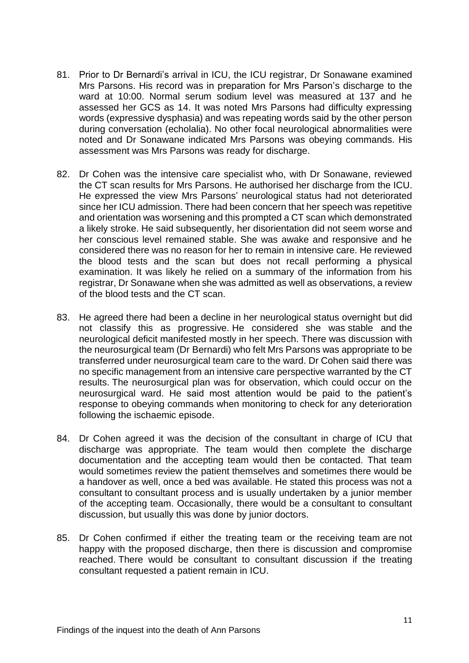- 81. Prior to Dr Bernardi's arrival in ICU, the ICU registrar, Dr Sonawane examined Mrs Parsons. His record was in preparation for Mrs Parson's discharge to the ward at 10:00. Normal serum sodium level was measured at 137 and he assessed her GCS as 14. It was noted Mrs Parsons had difficulty expressing words (expressive dysphasia) and was repeating words said by the other person during conversation (echolalia). No other focal neurological abnormalities were noted and Dr Sonawane indicated Mrs Parsons was obeying commands. His assessment was Mrs Parsons was ready for discharge.
- 82. Dr Cohen was the intensive care specialist who, with Dr Sonawane, reviewed the CT scan results for Mrs Parsons. He authorised her discharge from the ICU. He expressed the view Mrs Parsons' neurological status had not deteriorated since her ICU admission. There had been concern that her speech was repetitive and orientation was worsening and this prompted a CT scan which demonstrated a likely stroke. He said subsequently, her disorientation did not seem worse and her conscious level remained stable. She was awake and responsive and he considered there was no reason for her to remain in intensive care. He reviewed the blood tests and the scan but does not recall performing a physical examination. It was likely he relied on a summary of the information from his registrar, Dr Sonawane when she was admitted as well as observations, a review of the blood tests and the CT scan.
- 83. He agreed there had been a decline in her neurological status overnight but did not classify this as progressive. He considered she was stable and the neurological deficit manifested mostly in her speech. There was discussion with the neurosurgical team (Dr Bernardi) who felt Mrs Parsons was appropriate to be transferred under neurosurgical team care to the ward. Dr Cohen said there was no specific management from an intensive care perspective warranted by the CT results. The neurosurgical plan was for observation, which could occur on the neurosurgical ward. He said most attention would be paid to the patient's response to obeying commands when monitoring to check for any deterioration following the ischaemic episode.
- 84. Dr Cohen agreed it was the decision of the consultant in charge of ICU that discharge was appropriate. The team would then complete the discharge documentation and the accepting team would then be contacted. That team would sometimes review the patient themselves and sometimes there would be a handover as well, once a bed was available. He stated this process was not a consultant to consultant process and is usually undertaken by a junior member of the accepting team. Occasionally, there would be a consultant to consultant discussion, but usually this was done by junior doctors.
- 85. Dr Cohen confirmed if either the treating team or the receiving team are not happy with the proposed discharge, then there is discussion and compromise reached. There would be consultant to consultant discussion if the treating consultant requested a patient remain in ICU.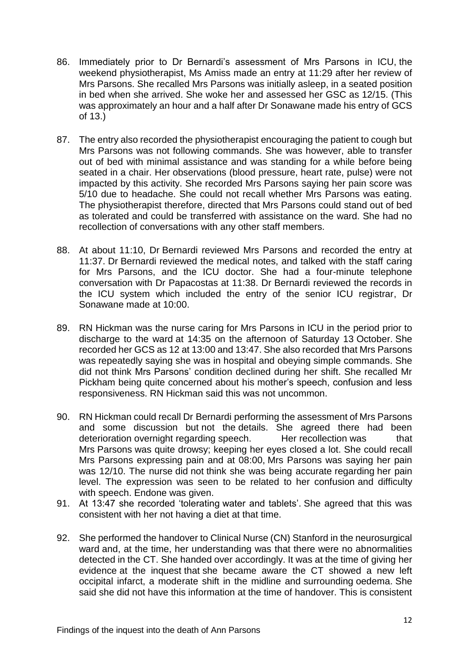- 86. Immediately prior to Dr Bernardi's assessment of Mrs Parsons in ICU, the weekend physiotherapist, Ms Amiss made an entry at 11:29 after her review of Mrs Parsons. She recalled Mrs Parsons was initially asleep, in a seated position in bed when she arrived. She woke her and assessed her GSC as 12/15. (This was approximately an hour and a half after Dr Sonawane made his entry of GCS of 13.)
- 87. The entry also recorded the physiotherapist encouraging the patient to cough but Mrs Parsons was not following commands. She was however, able to transfer out of bed with minimal assistance and was standing for a while before being seated in a chair. Her observations (blood pressure, heart rate, pulse) were not impacted by this activity. She recorded Mrs Parsons saying her pain score was 5/10 due to headache. She could not recall whether Mrs Parsons was eating. The physiotherapist therefore, directed that Mrs Parsons could stand out of bed as tolerated and could be transferred with assistance on the ward. She had no recollection of conversations with any other staff members.
- 88. At about 11:10, Dr Bernardi reviewed Mrs Parsons and recorded the entry at 11:37. Dr Bernardi reviewed the medical notes, and talked with the staff caring for Mrs Parsons, and the ICU doctor. She had a four-minute telephone conversation with Dr Papacostas at 11:38. Dr Bernardi reviewed the records in the ICU system which included the entry of the senior ICU registrar, Dr Sonawane made at 10:00.
- 89. RN Hickman was the nurse caring for Mrs Parsons in ICU in the period prior to discharge to the ward at 14:35 on the afternoon of Saturday 13 October. She recorded her GCS as 12 at 13:00 and 13:47. She also recorded that Mrs Parsons was repeatedly saying she was in hospital and obeying simple commands. She did not think Mrs Parsons' condition declined during her shift. She recalled Mr Pickham being quite concerned about his mother's speech, confusion and less responsiveness. RN Hickman said this was not uncommon.
- 90. RN Hickman could recall Dr Bernardi performing the assessment of Mrs Parsons and some discussion but not the details. She agreed there had been deterioration overnight regarding speech. Her recollection was that Mrs Parsons was quite drowsy; keeping her eyes closed a lot. She could recall Mrs Parsons expressing pain and at 08:00, Mrs Parsons was saying her pain was 12/10. The nurse did not think she was being accurate regarding her pain level. The expression was seen to be related to her confusion and difficulty with speech. Endone was given.
- 91. At 13:47 she recorded 'tolerating water and tablets'. She agreed that this was consistent with her not having a diet at that time.
- 92. She performed the handover to Clinical Nurse (CN) Stanford in the neurosurgical ward and, at the time, her understanding was that there were no abnormalities detected in the CT. She handed over accordingly. It was at the time of giving her evidence at the inquest that she became aware the CT showed a new left occipital infarct, a moderate shift in the midline and surrounding oedema. She said she did not have this information at the time of handover. This is consistent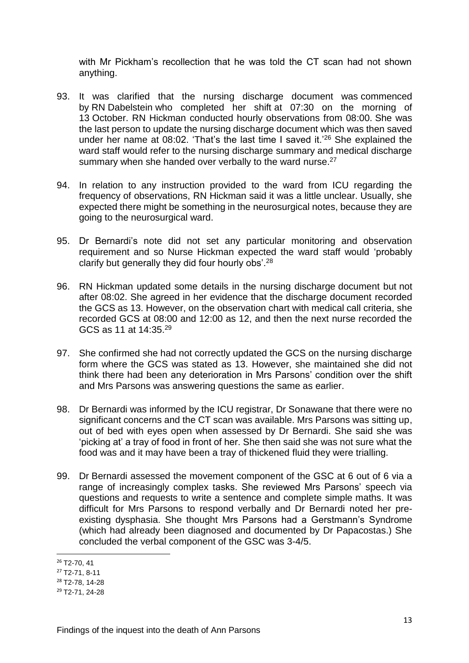with Mr Pickham's recollection that he was told the CT scan had not shown anything.

- 93. It was clarified that the nursing discharge document was commenced by RN Dabelstein who completed her shift at 07:30 on the morning of 13 October. RN Hickman conducted hourly observations from 08:00. She was the last person to update the nursing discharge document which was then saved under her name at 08:02. 'That's the last time I saved it.'<sup>26</sup> She explained the ward staff would refer to the nursing discharge summary and medical discharge summary when she handed over verbally to the ward nurse.<sup>27</sup>
- 94. In relation to any instruction provided to the ward from ICU regarding the frequency of observations, RN Hickman said it was a little unclear. Usually, she expected there might be something in the neurosurgical notes, because they are going to the neurosurgical ward.
- 95. Dr Bernardi's note did not set any particular monitoring and observation requirement and so Nurse Hickman expected the ward staff would 'probably clarify but generally they did four hourly obs'.<sup>28</sup>
- 96. RN Hickman updated some details in the nursing discharge document but not after 08:02. She agreed in her evidence that the discharge document recorded the GCS as 13. However, on the observation chart with medical call criteria, she recorded GCS at 08:00 and 12:00 as 12, and then the next nurse recorded the GCS as 11 at 14:35.<sup>29</sup>
- 97. She confirmed she had not correctly updated the GCS on the nursing discharge form where the GCS was stated as 13. However, she maintained she did not think there had been any deterioration in Mrs Parsons' condition over the shift and Mrs Parsons was answering questions the same as earlier.
- 98. Dr Bernardi was informed by the ICU registrar, Dr Sonawane that there were no significant concerns and the CT scan was available. Mrs Parsons was sitting up, out of bed with eyes open when assessed by Dr Bernardi. She said she was 'picking at' a tray of food in front of her. She then said she was not sure what the food was and it may have been a tray of thickened fluid they were trialling.
- 99. Dr Bernardi assessed the movement component of the GSC at 6 out of 6 via a range of increasingly complex tasks. She reviewed Mrs Parsons' speech via questions and requests to write a sentence and complete simple maths. It was difficult for Mrs Parsons to respond verbally and Dr Bernardi noted her preexisting dysphasia. She thought Mrs Parsons had a Gerstmann's Syndrome (which had already been diagnosed and documented by Dr Papacostas.) She concluded the verbal component of the GSC was 3-4/5.

 $\overline{a}$ 

 $26$  T<sub>2</sub>-70, 41

<sup>27</sup> T2-71, 8-11

<sup>28</sup> T2-78, 14-28

<sup>29</sup> T2-71, 24-28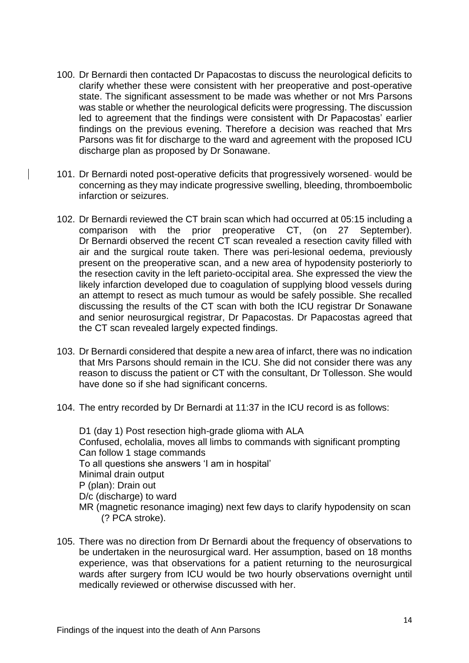- 100. Dr Bernardi then contacted Dr Papacostas to discuss the neurological deficits to clarify whether these were consistent with her preoperative and post-operative state. The significant assessment to be made was whether or not Mrs Parsons was stable or whether the neurological deficits were progressing. The discussion led to agreement that the findings were consistent with Dr Papacostas' earlier findings on the previous evening. Therefore a decision was reached that Mrs Parsons was fit for discharge to the ward and agreement with the proposed ICU discharge plan as proposed by Dr Sonawane.
- 101. Dr Bernardi noted post-operative deficits that progressively worsened- would be concerning as they may indicate progressive swelling, bleeding, thromboembolic infarction or seizures.
- 102. Dr Bernardi reviewed the CT brain scan which had occurred at 05:15 including a comparison with the prior preoperative CT, (on 27 September). Dr Bernardi observed the recent CT scan revealed a resection cavity filled with air and the surgical route taken. There was peri-lesional oedema, previously present on the preoperative scan, and a new area of hypodensity posteriorly to the resection cavity in the left parieto-occipital area. She expressed the view the likely infarction developed due to coagulation of supplying blood vessels during an attempt to resect as much tumour as would be safely possible. She recalled discussing the results of the CT scan with both the ICU registrar Dr Sonawane and senior neurosurgical registrar, Dr Papacostas. Dr Papacostas agreed that the CT scan revealed largely expected findings.
- 103. Dr Bernardi considered that despite a new area of infarct, there was no indication that Mrs Parsons should remain in the ICU. She did not consider there was any reason to discuss the patient or CT with the consultant, Dr Tollesson. She would have done so if she had significant concerns.
- 104. The entry recorded by Dr Bernardi at 11:37 in the ICU record is as follows:

D1 (day 1) Post resection high-grade glioma with ALA Confused, echolalia, moves all limbs to commands with significant prompting Can follow 1 stage commands To all questions she answers 'I am in hospital' Minimal drain output P (plan): Drain out D/c (discharge) to ward MR (magnetic resonance imaging) next few days to clarify hypodensity on scan (? PCA stroke).

105. There was no direction from Dr Bernardi about the frequency of observations to be undertaken in the neurosurgical ward. Her assumption, based on 18 months experience, was that observations for a patient returning to the neurosurgical wards after surgery from ICU would be two hourly observations overnight until medically reviewed or otherwise discussed with her.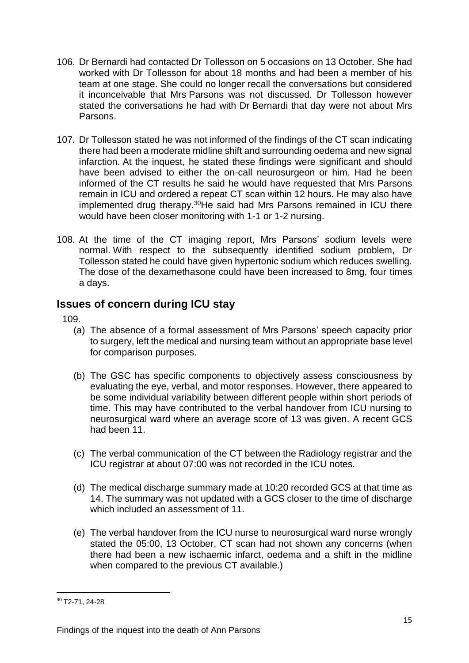- 106. Dr Bernardi had contacted Dr Tollesson on 5 occasions on 13 October. She had worked with Dr Tollesson for about 18 months and had been a member of his team at one stage. She could no longer recall the conversations but considered it inconceivable that Mrs Parsons was not discussed. Dr Tollesson however stated the conversations he had with Dr Bernardi that day were not about Mrs Parsons.
- 107. Dr Tollesson stated he was not informed of the findings of the CT scan indicating there had been a moderate midline shift and surrounding oedema and new signal infarction. At the inquest, he stated these findings were significant and should have been advised to either the on-call neurosurgeon or him. Had he been informed of the CT results he said he would have requested that Mrs Parsons remain in ICU and ordered a repeat CT scan within 12 hours. He may also have implemented drug therapy.<sup>30</sup>He said had Mrs Parsons remained in ICU there would have been closer monitoring with 1-1 or 1-2 nursing.
- 108. At the time of the CT imaging report, Mrs Parsons' sodium levels were normal. With respect to the subsequently identified sodium problem, Dr Tollesson stated he could have given hypertonic sodium which reduces swelling. The dose of the dexamethasone could have been increased to 8mg, four times a days.

### <span id="page-16-0"></span>**Issues of concern during ICU stay**

109.

- (a) The absence of a formal assessment of Mrs Parsons' speech capacity prior to surgery, left the medical and nursing team without an appropriate base level for comparison purposes.
- (b) The GSC has specific components to objectively assess consciousness by evaluating the eye, verbal, and motor responses. However, there appeared to be some individual variability between different people within short periods of time. This may have contributed to the verbal handover from ICU nursing to neurosurgical ward where an average score of 13 was given. A recent GCS had been 11.
- (c) The verbal communication of the CT between the Radiology registrar and the ICU registrar at about 07:00 was not recorded in the ICU notes.
- (d) The medical discharge summary made at 10:20 recorded GCS at that time as 14. The summary was not updated with a GCS closer to the time of discharge which included an assessment of 11
- (e) The verbal handover from the ICU nurse to neurosurgical ward nurse wrongly stated the 05:00, 13 October, CT scan had not shown any concerns (when there had been a new ischaemic infarct, oedema and a shift in the midline when compared to the previous CT available.)

<sup>30</sup> T2-71, 24-28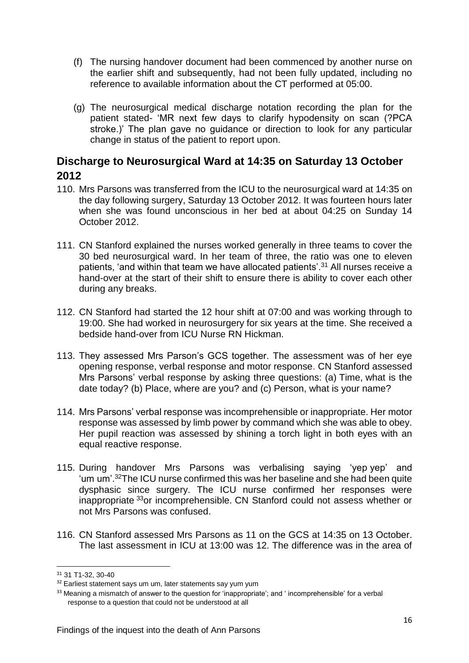- (f) The nursing handover document had been commenced by another nurse on the earlier shift and subsequently, had not been fully updated, including no reference to available information about the CT performed at 05:00.
- (g) The neurosurgical medical discharge notation recording the plan for the patient stated- 'MR next few days to clarify hypodensity on scan (?PCA stroke.)' The plan gave no guidance or direction to look for any particular change in status of the patient to report upon.

### <span id="page-17-0"></span>**Discharge to Neurosurgical Ward at 14:35 on Saturday 13 October 2012**

- 110. Mrs Parsons was transferred from the ICU to the neurosurgical ward at 14:35 on the day following surgery, Saturday 13 October 2012. It was fourteen hours later when she was found unconscious in her bed at about 04:25 on Sunday 14 October 2012.
- 111. CN Stanford explained the nurses worked generally in three teams to cover the 30 bed neurosurgical ward. In her team of three, the ratio was one to eleven patients, 'and within that team we have allocated patients'.<sup>31</sup> All nurses receive a hand-over at the start of their shift to ensure there is ability to cover each other during any breaks.
- 112. CN Stanford had started the 12 hour shift at 07:00 and was working through to 19:00. She had worked in neurosurgery for six years at the time. She received a bedside hand-over from ICU Nurse RN Hickman.
- 113. They assessed Mrs Parson's GCS together. The assessment was of her eye opening response, verbal response and motor response. CN Stanford assessed Mrs Parsons' verbal response by asking three questions: (a) Time, what is the date today? (b) Place, where are you? and (c) Person, what is your name?
- 114. Mrs Parsons' verbal response was incomprehensible or inappropriate. Her motor response was assessed by limb power by command which she was able to obey. Her pupil reaction was assessed by shining a torch light in both eyes with an equal reactive response.
- 115. During handover Mrs Parsons was verbalising saying 'yep yep' and 'um um'. <sup>32</sup>The ICU nurse confirmed this was her baseline and she had been quite dysphasic since surgery. The ICU nurse confirmed her responses were inappropriate <sup>33</sup>or incomprehensible. CN Stanford could not assess whether or not Mrs Parsons was confused.
- 116. CN Stanford assessed Mrs Parsons as 11 on the GCS at 14:35 on 13 October. The last assessment in ICU at 13:00 was 12. The difference was in the area of

**<sup>.</sup>** <sup>31</sup> 31 T1-32, 30-40

<sup>&</sup>lt;sup>32</sup> Earliest statement says um um, later statements say yum yum

<sup>&</sup>lt;sup>33</sup> Meaning a mismatch of answer to the question for 'inappropriate'; and ' incomprehensible' for a verbal response to a question that could not be understood at all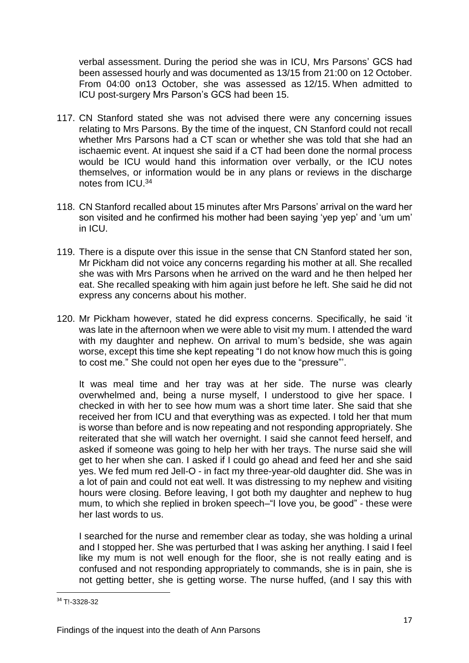verbal assessment. During the period she was in ICU, Mrs Parsons' GCS had been assessed hourly and was documented as 13/15 from 21:00 on 12 October. From 04:00 on13 October, she was assessed as 12/15. When admitted to ICU post-surgery Mrs Parson's GCS had been 15.

- 117. CN Stanford stated she was not advised there were any concerning issues relating to Mrs Parsons. By the time of the inquest, CN Stanford could not recall whether Mrs Parsons had a CT scan or whether she was told that she had an ischaemic event. At inquest she said if a CT had been done the normal process would be ICU would hand this information over verbally, or the ICU notes themselves, or information would be in any plans or reviews in the discharge notes from ICU.<sup>34</sup>
- 118. CN Stanford recalled about 15 minutes after Mrs Parsons' arrival on the ward her son visited and he confirmed his mother had been saying 'yep yep' and 'um um' in ICU.
- 119. There is a dispute over this issue in the sense that CN Stanford stated her son, Mr Pickham did not voice any concerns regarding his mother at all. She recalled she was with Mrs Parsons when he arrived on the ward and he then helped her eat. She recalled speaking with him again just before he left. She said he did not express any concerns about his mother.
- 120. Mr Pickham however, stated he did express concerns. Specifically, he said 'it was late in the afternoon when we were able to visit my mum. I attended the ward with my daughter and nephew. On arrival to mum's bedside, she was again worse, except this time she kept repeating "I do not know how much this is going to cost me." She could not open her eyes due to the "pressure"'.

It was meal time and her tray was at her side. The nurse was clearly overwhelmed and, being a nurse myself, I understood to give her space. I checked in with her to see how mum was a short time later. She said that she received her from ICU and that everything was as expected. I told her that mum is worse than before and is now repeating and not responding appropriately. She reiterated that she will watch her overnight. I said she cannot feed herself, and asked if someone was going to help her with her trays. The nurse said she will get to her when she can. I asked if I could go ahead and feed her and she said yes. We fed mum red Jell-O - in fact my three-year-old daughter did. She was in a lot of pain and could not eat well. It was distressing to my nephew and visiting hours were closing. Before leaving, I got both my daughter and nephew to hug mum, to which she replied in broken speech–"I Iove you, be good" - these were her last words to us.

I searched for the nurse and remember clear as today, she was holding a urinal and I stopped her. She was perturbed that I was asking her anything. I said I feel like my mum is not well enough for the floor, she is not really eating and is confused and not responding appropriately to commands, she is in pain, she is not getting better, she is getting worse. The nurse huffed, (and I say this with

<sup>34</sup> T!-3328-32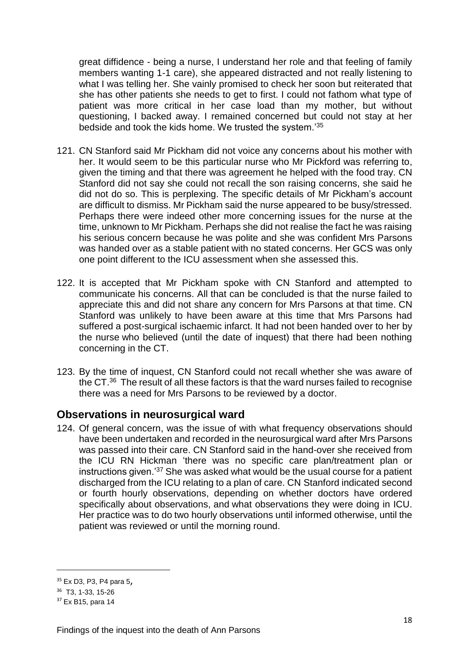great diffidence - being a nurse, I understand her role and that feeling of family members wanting 1-1 care), she appeared distracted and not really listening to what I was telling her. She vainly promised to check her soon but reiterated that she has other patients she needs to get to first. I could not fathom what type of patient was more critical in her case load than my mother, but without questioning, I backed away. I remained concerned but could not stay at her bedside and took the kids home. We trusted the system.'<sup>35</sup>

- 121. CN Stanford said Mr Pickham did not voice any concerns about his mother with her. It would seem to be this particular nurse who Mr Pickford was referring to, given the timing and that there was agreement he helped with the food tray. CN Stanford did not say she could not recall the son raising concerns, she said he did not do so. This is perplexing. The specific details of Mr Pickham's account are difficult to dismiss. Mr Pickham said the nurse appeared to be busy/stressed. Perhaps there were indeed other more concerning issues for the nurse at the time, unknown to Mr Pickham. Perhaps she did not realise the fact he was raising his serious concern because he was polite and she was confident Mrs Parsons was handed over as a stable patient with no stated concerns. Her GCS was only one point different to the ICU assessment when she assessed this.
- 122. It is accepted that Mr Pickham spoke with CN Stanford and attempted to communicate his concerns. All that can be concluded is that the nurse failed to appreciate this and did not share any concern for Mrs Parsons at that time. CN Stanford was unlikely to have been aware at this time that Mrs Parsons had suffered a post-surgical ischaemic infarct. It had not been handed over to her by the nurse who believed (until the date of inquest) that there had been nothing concerning in the CT.
- 123. By the time of inquest, CN Stanford could not recall whether she was aware of the CT.<sup>36</sup> The result of all these factors is that the ward nurses failed to recognise there was a need for Mrs Parsons to be reviewed by a doctor.

### <span id="page-19-0"></span>**Observations in neurosurgical ward**

124. Of general concern, was the issue of with what frequency observations should have been undertaken and recorded in the neurosurgical ward after Mrs Parsons was passed into their care. CN Stanford said in the hand-over she received from the ICU RN Hickman 'there was no specific care plan/treatment plan or instructions given.'<sup>37</sup> She was asked what would be the usual course for a patient discharged from the ICU relating to a plan of care. CN Stanford indicated second or fourth hourly observations, depending on whether doctors have ordered specifically about observations, and what observations they were doing in ICU. Her practice was to do two hourly observations until informed otherwise, until the patient was reviewed or until the morning round.

1

<sup>35</sup> Ex D3, P3, P4 para 5,

<sup>36</sup> T3, 1-33, 15-26

<sup>37</sup> Ex B15, para 14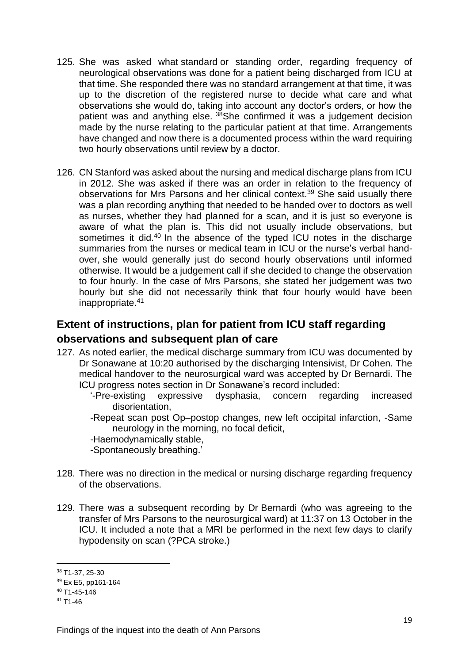- 125. She was asked what standard or standing order, regarding frequency of neurological observations was done for a patient being discharged from ICU at that time. She responded there was no standard arrangement at that time, it was up to the discretion of the registered nurse to decide what care and what observations she would do, taking into account any doctor's orders, or how the patient was and anything else.  $38$ She confirmed it was a judgement decision made by the nurse relating to the particular patient at that time. Arrangements have changed and now there is a documented process within the ward requiring two hourly observations until review by a doctor.
- 126. CN Stanford was asked about the nursing and medical discharge plans from ICU in 2012. She was asked if there was an order in relation to the frequency of observations for Mrs Parsons and her clinical context.<sup>39</sup> She said usually there was a plan recording anything that needed to be handed over to doctors as well as nurses, whether they had planned for a scan, and it is just so everyone is aware of what the plan is. This did not usually include observations, but sometimes it did.<sup>40</sup> In the absence of the typed ICU notes in the discharge summaries from the nurses or medical team in ICU or the nurse's verbal handover, she would generally just do second hourly observations until informed otherwise. It would be a judgement call if she decided to change the observation to four hourly. In the case of Mrs Parsons, she stated her judgement was two hourly but she did not necessarily think that four hourly would have been inappropriate.<sup>41</sup>

## <span id="page-20-0"></span>**Extent of instructions, plan for patient from ICU staff regarding observations and subsequent plan of care**

- 127. As noted earlier, the medical discharge summary from ICU was documented by Dr Sonawane at 10:20 authorised by the discharging Intensivist, Dr Cohen. The medical handover to the neurosurgical ward was accepted by Dr Bernardi. The ICU progress notes section in Dr Sonawane's record included:
	- '-Pre-existing expressive dysphasia, concern regarding increased disorientation,
	- -Repeat scan post Op–postop changes, new left occipital infarction, -Same neurology in the morning, no focal deficit,
	- -Haemodynamically stable,
	- -Spontaneously breathing.'
- 128. There was no direction in the medical or nursing discharge regarding frequency of the observations.
- 129. There was a subsequent recording by Dr Bernardi (who was agreeing to the transfer of Mrs Parsons to the neurosurgical ward) at 11:37 on 13 October in the ICU. It included a note that a MRI be performed in the next few days to clarify hypodensity on scan (?PCA stroke.)

<sup>38</sup> T1-37, 25-30

<sup>39</sup> Ex E5, pp161-164

<sup>40</sup> T1-45-146

 $41$  T<sub>1</sub>-46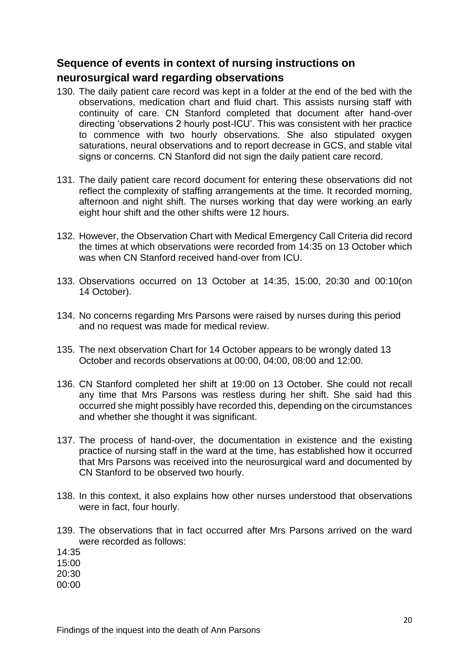## <span id="page-21-0"></span>**Sequence of events in context of nursing instructions on**

### **neurosurgical ward regarding observations**

- 130. The daily patient care record was kept in a folder at the end of the bed with the observations, medication chart and fluid chart. This assists nursing staff with continuity of care. CN Stanford completed that document after hand-over directing 'observations 2 hourly post-ICU'. This was consistent with her practice to commence with two hourly observations. She also stipulated oxygen saturations, neural observations and to report decrease in GCS, and stable vital signs or concerns. CN Stanford did not sign the daily patient care record.
- 131. The daily patient care record document for entering these observations did not reflect the complexity of staffing arrangements at the time. It recorded morning, afternoon and night shift. The nurses working that day were working an early eight hour shift and the other shifts were 12 hours.
- 132. However, the Observation Chart with Medical Emergency Call Criteria did record the times at which observations were recorded from 14:35 on 13 October which was when CN Stanford received hand-over from ICU.
- 133. Observations occurred on 13 October at 14:35, 15:00, 20:30 and 00:10(on 14 October).
- 134. No concerns regarding Mrs Parsons were raised by nurses during this period and no request was made for medical review.
- 135. The next observation Chart for 14 October appears to be wrongly dated 13 October and records observations at 00:00, 04:00, 08:00 and 12:00.
- 136. CN Stanford completed her shift at 19:00 on 13 October. She could not recall any time that Mrs Parsons was restless during her shift. She said had this occurred she might possibly have recorded this, depending on the circumstances and whether she thought it was significant.
- 137. The process of hand-over, the documentation in existence and the existing practice of nursing staff in the ward at the time, has established how it occurred that Mrs Parsons was received into the neurosurgical ward and documented by CN Stanford to be observed two hourly.
- 138. In this context, it also explains how other nurses understood that observations were in fact, four hourly.
- 139. The observations that in fact occurred after Mrs Parsons arrived on the ward were recorded as follows:

14:35

15:00

20:30

00:00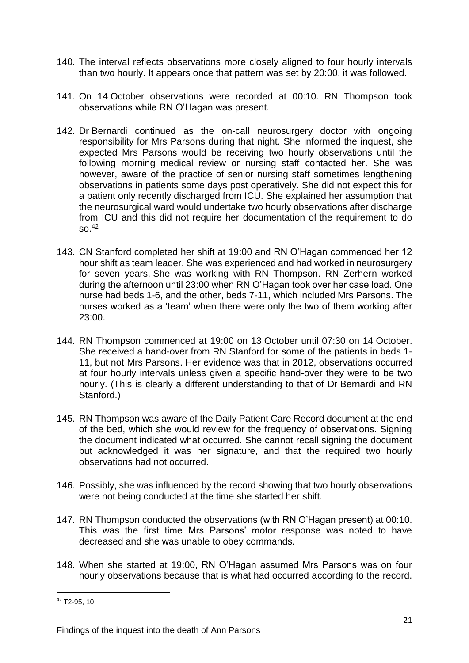- 140. The interval reflects observations more closely aligned to four hourly intervals than two hourly. It appears once that pattern was set by 20:00, it was followed.
- 141. On 14 October observations were recorded at 00:10. RN Thompson took observations while RN O'Hagan was present.
- 142. Dr Bernardi continued as the on-call neurosurgery doctor with ongoing responsibility for Mrs Parsons during that night. She informed the inquest, she expected Mrs Parsons would be receiving two hourly observations until the following morning medical review or nursing staff contacted her. She was however, aware of the practice of senior nursing staff sometimes lengthening observations in patients some days post operatively. She did not expect this for a patient only recently discharged from ICU. She explained her assumption that the neurosurgical ward would undertake two hourly observations after discharge from ICU and this did not require her documentation of the requirement to do  $SO<sub>42</sub>$
- 143. CN Stanford completed her shift at 19:00 and RN O'Hagan commenced her 12 hour shift as team leader. She was experienced and had worked in neurosurgery for seven years. She was working with RN Thompson. RN Zerhern worked during the afternoon until 23:00 when RN O'Hagan took over her case load. One nurse had beds 1-6, and the other, beds 7-11, which included Mrs Parsons. The nurses worked as a 'team' when there were only the two of them working after 23:00.
- 144. RN Thompson commenced at 19:00 on 13 October until 07:30 on 14 October. She received a hand-over from RN Stanford for some of the patients in beds 1- 11, but not Mrs Parsons. Her evidence was that in 2012, observations occurred at four hourly intervals unless given a specific hand-over they were to be two hourly. (This is clearly a different understanding to that of Dr Bernardi and RN Stanford.)
- 145. RN Thompson was aware of the Daily Patient Care Record document at the end of the bed, which she would review for the frequency of observations. Signing the document indicated what occurred. She cannot recall signing the document but acknowledged it was her signature, and that the required two hourly observations had not occurred.
- 146. Possibly, she was influenced by the record showing that two hourly observations were not being conducted at the time she started her shift.
- 147. RN Thompson conducted the observations (with RN O'Hagan present) at 00:10. This was the first time Mrs Parsons' motor response was noted to have decreased and she was unable to obey commands.
- 148. When she started at 19:00, RN O'Hagan assumed Mrs Parsons was on four hourly observations because that is what had occurred according to the record.

<sup>42</sup> T2-95, 10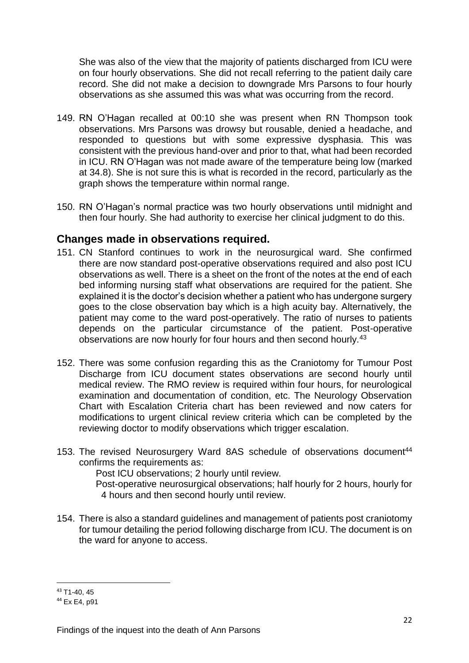She was also of the view that the majority of patients discharged from ICU were on four hourly observations. She did not recall referring to the patient daily care record. She did not make a decision to downgrade Mrs Parsons to four hourly observations as she assumed this was what was occurring from the record.

- 149. RN O'Hagan recalled at 00:10 she was present when RN Thompson took observations. Mrs Parsons was drowsy but rousable, denied a headache, and responded to questions but with some expressive dysphasia. This was consistent with the previous hand-over and prior to that, what had been recorded in ICU. RN O'Hagan was not made aware of the temperature being low (marked at 34.8). She is not sure this is what is recorded in the record, particularly as the graph shows the temperature within normal range.
- 150. RN O'Hagan's normal practice was two hourly observations until midnight and then four hourly. She had authority to exercise her clinical judgment to do this.

### <span id="page-23-0"></span>**Changes made in observations required.**

- 151. CN Stanford continues to work in the neurosurgical ward. She confirmed there are now standard post-operative observations required and also post ICU observations as well. There is a sheet on the front of the notes at the end of each bed informing nursing staff what observations are required for the patient. She explained it is the doctor's decision whether a patient who has undergone surgery goes to the close observation bay which is a high acuity bay. Alternatively, the patient may come to the ward post-operatively. The ratio of nurses to patients depends on the particular circumstance of the patient. Post-operative observations are now hourly for four hours and then second hourly.<sup>43</sup>
- 152. There was some confusion regarding this as the Craniotomy for Tumour Post Discharge from ICU document states observations are second hourly until medical review. The RMO review is required within four hours, for neurological examination and documentation of condition, etc. The Neurology Observation Chart with Escalation Criteria chart has been reviewed and now caters for modifications to urgent clinical review criteria which can be completed by the reviewing doctor to modify observations which trigger escalation.
- 153. The revised Neurosurgery Ward 8AS schedule of observations document<sup>44</sup> confirms the requirements as:

Post ICU observations; 2 hourly until review.

- Post-operative neurosurgical observations; half hourly for 2 hours, hourly for 4 hours and then second hourly until review.
- 154. There is also a standard guidelines and management of patients post craniotomy for tumour detailing the period following discharge from ICU. The document is on the ward for anyone to access.

<sup>1</sup> <sup>43</sup> T1-40, 45

<sup>44</sup> Ex E4, p91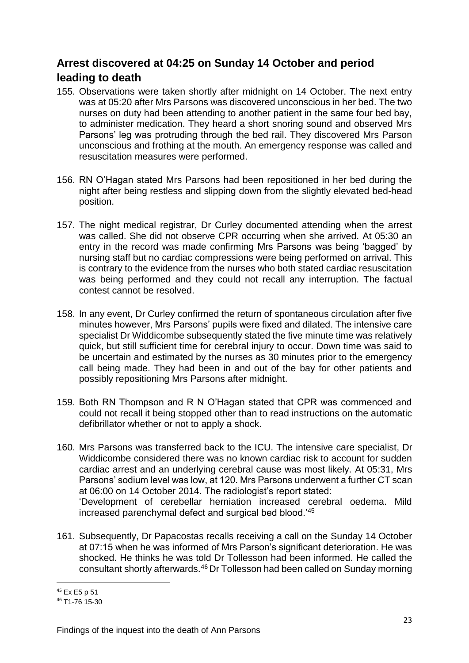## <span id="page-24-0"></span>**Arrest discovered at 04:25 on Sunday 14 October and period**

### **leading to death**

- 155. Observations were taken shortly after midnight on 14 October. The next entry was at 05:20 after Mrs Parsons was discovered unconscious in her bed. The two nurses on duty had been attending to another patient in the same four bed bay, to administer medication. They heard a short snoring sound and observed Mrs Parsons' leg was protruding through the bed rail. They discovered Mrs Parson unconscious and frothing at the mouth. An emergency response was called and resuscitation measures were performed.
- 156. RN O'Hagan stated Mrs Parsons had been repositioned in her bed during the night after being restless and slipping down from the slightly elevated bed-head position.
- 157. The night medical registrar, Dr Curley documented attending when the arrest was called. She did not observe CPR occurring when she arrived. At 05:30 an entry in the record was made confirming Mrs Parsons was being 'bagged' by nursing staff but no cardiac compressions were being performed on arrival. This is contrary to the evidence from the nurses who both stated cardiac resuscitation was being performed and they could not recall any interruption. The factual contest cannot be resolved.
- 158. In any event, Dr Curley confirmed the return of spontaneous circulation after five minutes however, Mrs Parsons' pupils were fixed and dilated. The intensive care specialist Dr Widdicombe subsequently stated the five minute time was relatively quick, but still sufficient time for cerebral injury to occur. Down time was said to be uncertain and estimated by the nurses as 30 minutes prior to the emergency call being made. They had been in and out of the bay for other patients and possibly repositioning Mrs Parsons after midnight.
- 159. Both RN Thompson and R N O'Hagan stated that CPR was commenced and could not recall it being stopped other than to read instructions on the automatic defibrillator whether or not to apply a shock.
- 160. Mrs Parsons was transferred back to the ICU. The intensive care specialist, Dr Widdicombe considered there was no known cardiac risk to account for sudden cardiac arrest and an underlying cerebral cause was most likely. At 05:31, Mrs Parsons' sodium level was low, at 120. Mrs Parsons underwent a further CT scan at 06:00 on 14 October 2014. The radiologist's report stated: 'Development of cerebellar herniation increased cerebral oedema. Mild increased parenchymal defect and surgical bed blood.'<sup>45</sup>
- 161. Subsequently, Dr Papacostas recalls receiving a call on the Sunday 14 October at 07:15 when he was informed of Mrs Parson's significant deterioration. He was shocked. He thinks he was told Dr Tollesson had been informed. He called the consultant shortly afterwards.<sup>46</sup> Dr Tollesson had been called on Sunday morning

<sup>1</sup> <sup>45</sup> Ex E5 p 51

<sup>46</sup> T1-76 15-30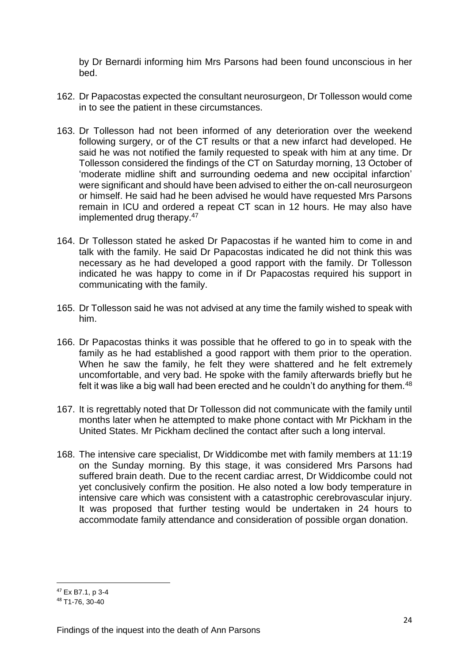by Dr Bernardi informing him Mrs Parsons had been found unconscious in her bed.

- 162. Dr Papacostas expected the consultant neurosurgeon, Dr Tollesson would come in to see the patient in these circumstances.
- 163. Dr Tollesson had not been informed of any deterioration over the weekend following surgery, or of the CT results or that a new infarct had developed. He said he was not notified the family requested to speak with him at any time. Dr Tollesson considered the findings of the CT on Saturday morning, 13 October of 'moderate midline shift and surrounding oedema and new occipital infarction' were significant and should have been advised to either the on-call neurosurgeon or himself. He said had he been advised he would have requested Mrs Parsons remain in ICU and ordered a repeat CT scan in 12 hours. He may also have implemented drug therapy.<sup>47</sup>
- 164. Dr Tollesson stated he asked Dr Papacostas if he wanted him to come in and talk with the family. He said Dr Papacostas indicated he did not think this was necessary as he had developed a good rapport with the family. Dr Tollesson indicated he was happy to come in if Dr Papacostas required his support in communicating with the family.
- 165. Dr Tollesson said he was not advised at any time the family wished to speak with him.
- 166. Dr Papacostas thinks it was possible that he offered to go in to speak with the family as he had established a good rapport with them prior to the operation. When he saw the family, he felt they were shattered and he felt extremely uncomfortable, and very bad. He spoke with the family afterwards briefly but he felt it was like a big wall had been erected and he couldn't do anything for them.<sup>48</sup>
- 167. It is regrettably noted that Dr Tollesson did not communicate with the family until months later when he attempted to make phone contact with Mr Pickham in the United States. Mr Pickham declined the contact after such a long interval.
- 168. The intensive care specialist, Dr Widdicombe met with family members at 11:19 on the Sunday morning. By this stage, it was considered Mrs Parsons had suffered brain death. Due to the recent cardiac arrest, Dr Widdicombe could not yet conclusively confirm the position. He also noted a low body temperature in intensive care which was consistent with a catastrophic cerebrovascular injury. It was proposed that further testing would be undertaken in 24 hours to accommodate family attendance and consideration of possible organ donation.

1

<sup>47</sup> Ex B7.1, p 3-4

<sup>48</sup> T1-76, 30-40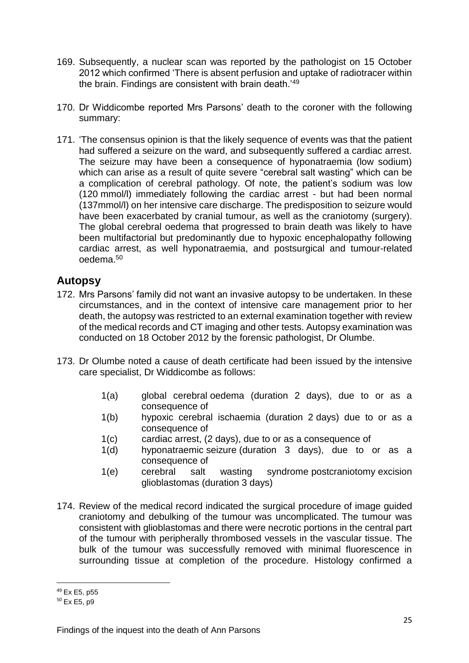- 169. Subsequently, a nuclear scan was reported by the pathologist on 15 October 2012 which confirmed 'There is absent perfusion and uptake of radiotracer within the brain. Findings are consistent with brain death.'<sup>49</sup>
- 170. Dr Widdicombe reported Mrs Parsons' death to the coroner with the following summary:
- 171. 'The consensus opinion is that the likely sequence of events was that the patient had suffered a seizure on the ward, and subsequently suffered a cardiac arrest. The seizure may have been a consequence of hyponatraemia (low sodium) which can arise as a result of quite severe "cerebral salt wasting" which can be a complication of cerebral pathology. Of note, the patient's sodium was low (120 mmol/l) immediately following the cardiac arrest - but had been normal (137mmol/l) on her intensive care discharge. The predisposition to seizure would have been exacerbated by cranial tumour, as well as the craniotomy (surgery). The global cerebral oedema that progressed to brain death was likely to have been multifactorial but predominantly due to hypoxic encephalopathy following cardiac arrest, as well hyponatraemia, and postsurgical and tumour-related oedema.<sup>50</sup>

### <span id="page-26-0"></span>**Autopsy**

- 172. Mrs Parsons' family did not want an invasive autopsy to be undertaken. In these circumstances, and in the context of intensive care management prior to her death, the autopsy was restricted to an external examination together with review of the medical records and CT imaging and other tests. Autopsy examination was conducted on 18 October 2012 by the forensic pathologist, Dr Olumbe.
- 173. Dr Olumbe noted a cause of death certificate had been issued by the intensive care specialist, Dr Widdicombe as follows:
	- 1(a) global cerebral oedema (duration 2 days), due to or as a consequence of
	- 1(b) hypoxic cerebral ischaemia (duration 2 days) due to or as a consequence of
	- 1(c) cardiac arrest, (2 days), due to or as a consequence of
	- 1(d) hyponatraemic seizure (duration 3 days), due to or as a consequence of
	- 1(e) cerebral salt wasting syndrome postcraniotomy excision glioblastomas (duration 3 days)
- 174. Review of the medical record indicated the surgical procedure of image guided craniotomy and debulking of the tumour was uncomplicated. The tumour was consistent with glioblastomas and there were necrotic portions in the central part of the tumour with peripherally thrombosed vessels in the vascular tissue. The bulk of the tumour was successfully removed with minimal fluorescence in surrounding tissue at completion of the procedure. Histology confirmed a

1

<sup>49</sup> Ex E5, p55

<sup>50</sup> Ex E5, p9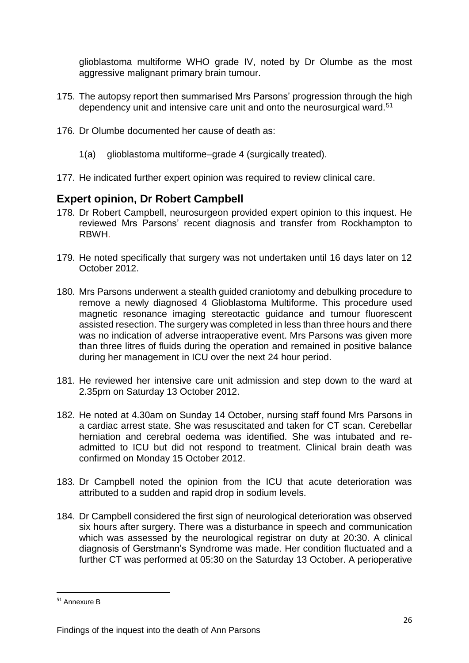glioblastoma multiforme WHO grade IV, noted by Dr Olumbe as the most aggressive malignant primary brain tumour.

- 175. The autopsy report then summarised Mrs Parsons' progression through the high dependency unit and intensive care unit and onto the neurosurgical ward.<sup>51</sup>
- 176. Dr Olumbe documented her cause of death as:
	- 1(a) glioblastoma multiforme–grade 4 (surgically treated).
- 177. He indicated further expert opinion was required to review clinical care.

### <span id="page-27-0"></span>**Expert opinion, Dr Robert Campbell**

- 178. Dr Robert Campbell, neurosurgeon provided expert opinion to this inquest. He reviewed Mrs Parsons' recent diagnosis and transfer from Rockhampton to RBWH.
- 179. He noted specifically that surgery was not undertaken until 16 days later on 12 October 2012.
- 180. Mrs Parsons underwent a stealth guided craniotomy and debulking procedure to remove a newly diagnosed 4 Glioblastoma Multiforme. This procedure used magnetic resonance imaging stereotactic guidance and tumour fluorescent assisted resection. The surgery was completed in less than three hours and there was no indication of adverse intraoperative event. Mrs Parsons was given more than three litres of fluids during the operation and remained in positive balance during her management in ICU over the next 24 hour period.
- 181. He reviewed her intensive care unit admission and step down to the ward at 2.35pm on Saturday 13 October 2012.
- 182. He noted at 4.30am on Sunday 14 October, nursing staff found Mrs Parsons in a cardiac arrest state. She was resuscitated and taken for CT scan. Cerebellar herniation and cerebral oedema was identified. She was intubated and readmitted to ICU but did not respond to treatment. Clinical brain death was confirmed on Monday 15 October 2012.
- 183. Dr Campbell noted the opinion from the ICU that acute deterioration was attributed to a sudden and rapid drop in sodium levels.
- 184. Dr Campbell considered the first sign of neurological deterioration was observed six hours after surgery. There was a disturbance in speech and communication which was assessed by the neurological registrar on duty at 20:30. A clinical diagnosis of Gerstmann's Syndrome was made. Her condition fluctuated and a further CT was performed at 05:30 on the Saturday 13 October. A perioperative

<sup>51</sup> Annexure B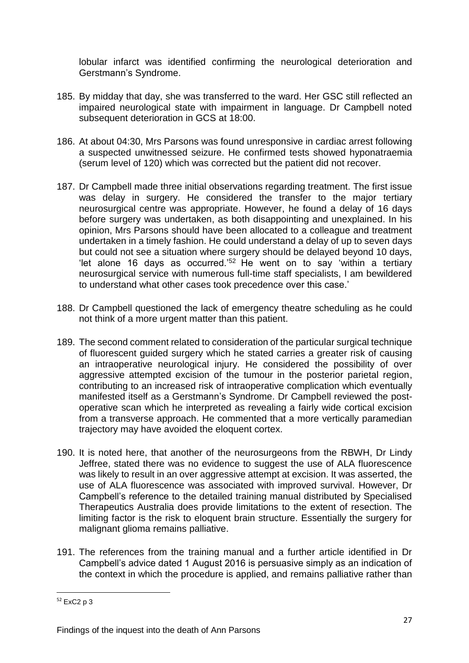lobular infarct was identified confirming the neurological deterioration and Gerstmann's Syndrome.

- 185. By midday that day, she was transferred to the ward. Her GSC still reflected an impaired neurological state with impairment in language. Dr Campbell noted subsequent deterioration in GCS at 18:00.
- 186. At about 04:30, Mrs Parsons was found unresponsive in cardiac arrest following a suspected unwitnessed seizure. He confirmed tests showed hyponatraemia (serum level of 120) which was corrected but the patient did not recover.
- 187. Dr Campbell made three initial observations regarding treatment. The first issue was delay in surgery. He considered the transfer to the major tertiary neurosurgical centre was appropriate. However, he found a delay of 16 days before surgery was undertaken, as both disappointing and unexplained. In his opinion, Mrs Parsons should have been allocated to a colleague and treatment undertaken in a timely fashion. He could understand a delay of up to seven days but could not see a situation where surgery should be delayed beyond 10 days, 'let alone 16 days as occurred.'<sup>52</sup> He went on to say 'within a tertiary neurosurgical service with numerous full-time staff specialists, I am bewildered to understand what other cases took precedence over this case.'
- 188. Dr Campbell questioned the lack of emergency theatre scheduling as he could not think of a more urgent matter than this patient.
- 189. The second comment related to consideration of the particular surgical technique of fluorescent guided surgery which he stated carries a greater risk of causing an intraoperative neurological injury. He considered the possibility of over aggressive attempted excision of the tumour in the posterior parietal region, contributing to an increased risk of intraoperative complication which eventually manifested itself as a Gerstmann's Syndrome. Dr Campbell reviewed the postoperative scan which he interpreted as revealing a fairly wide cortical excision from a transverse approach. He commented that a more vertically paramedian trajectory may have avoided the eloquent cortex.
- 190. It is noted here, that another of the neurosurgeons from the RBWH, Dr Lindy Jeffree, stated there was no evidence to suggest the use of ALA fluorescence was likely to result in an over aggressive attempt at excision. It was asserted, the use of ALA fluorescence was associated with improved survival. However, Dr Campbell's reference to the detailed training manual distributed by Specialised Therapeutics Australia does provide limitations to the extent of resection. The limiting factor is the risk to eloquent brain structure. Essentially the surgery for malignant glioma remains palliative.
- 191. The references from the training manual and a further article identified in Dr Campbell's advice dated 1 August 2016 is persuasive simply as an indication of the context in which the procedure is applied, and remains palliative rather than

 $52$  ExC<sub>2</sub> p 3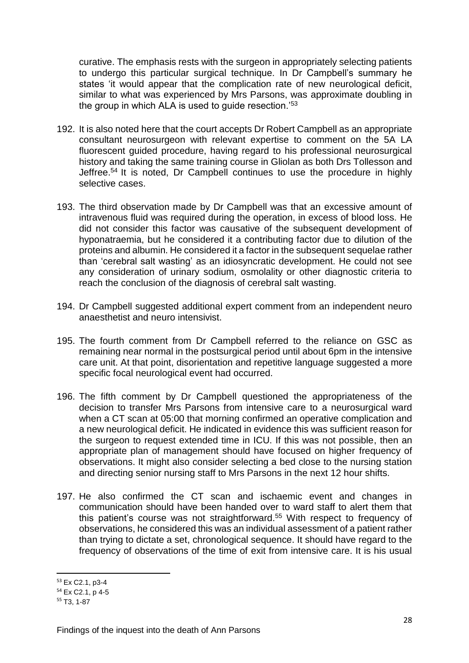curative. The emphasis rests with the surgeon in appropriately selecting patients to undergo this particular surgical technique. In Dr Campbell's summary he states 'it would appear that the complication rate of new neurological deficit, similar to what was experienced by Mrs Parsons, was approximate doubling in the group in which ALA is used to guide resection.'<sup>53</sup>

- 192. It is also noted here that the court accepts Dr Robert Campbell as an appropriate consultant neurosurgeon with relevant expertise to comment on the 5A LA fluorescent guided procedure, having regard to his professional neurosurgical history and taking the same training course in Gliolan as both Drs Tollesson and Jeffree.<sup>54</sup> It is noted, Dr Campbell continues to use the procedure in highly selective cases.
- 193. The third observation made by Dr Campbell was that an excessive amount of intravenous fluid was required during the operation, in excess of blood loss. He did not consider this factor was causative of the subsequent development of hyponatraemia, but he considered it a contributing factor due to dilution of the proteins and albumin. He considered it a factor in the subsequent sequelae rather than 'cerebral salt wasting' as an idiosyncratic development. He could not see any consideration of urinary sodium, osmolality or other diagnostic criteria to reach the conclusion of the diagnosis of cerebral salt wasting.
- 194. Dr Campbell suggested additional expert comment from an independent neuro anaesthetist and neuro intensivist.
- 195. The fourth comment from Dr Campbell referred to the reliance on GSC as remaining near normal in the postsurgical period until about 6pm in the intensive care unit. At that point, disorientation and repetitive language suggested a more specific focal neurological event had occurred.
- 196. The fifth comment by Dr Campbell questioned the appropriateness of the decision to transfer Mrs Parsons from intensive care to a neurosurgical ward when a CT scan at 05:00 that morning confirmed an operative complication and a new neurological deficit. He indicated in evidence this was sufficient reason for the surgeon to request extended time in ICU. If this was not possible, then an appropriate plan of management should have focused on higher frequency of observations. It might also consider selecting a bed close to the nursing station and directing senior nursing staff to Mrs Parsons in the next 12 hour shifts.
- 197. He also confirmed the CT scan and ischaemic event and changes in communication should have been handed over to ward staff to alert them that this patient's course was not straightforward.<sup>55</sup> With respect to frequency of observations, he considered this was an individual assessment of a patient rather than trying to dictate a set, chronological sequence. It should have regard to the frequency of observations of the time of exit from intensive care. It is his usual

<sup>53</sup> Ex C2.1, p3-4

<sup>54</sup> Ex C2.1, p 4-5

<sup>55</sup> T3, 1-87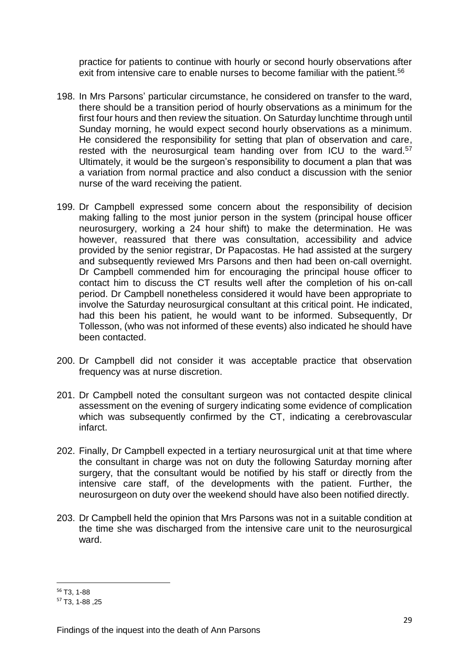practice for patients to continue with hourly or second hourly observations after exit from intensive care to enable nurses to become familiar with the patient.<sup>56</sup>

- 198. In Mrs Parsons' particular circumstance, he considered on transfer to the ward, there should be a transition period of hourly observations as a minimum for the first four hours and then review the situation. On Saturday lunchtime through until Sunday morning, he would expect second hourly observations as a minimum. He considered the responsibility for setting that plan of observation and care, rested with the neurosurgical team handing over from ICU to the ward.<sup>57</sup> Ultimately, it would be the surgeon's responsibility to document a plan that was a variation from normal practice and also conduct a discussion with the senior nurse of the ward receiving the patient.
- 199. Dr Campbell expressed some concern about the responsibility of decision making falling to the most junior person in the system (principal house officer neurosurgery, working a 24 hour shift) to make the determination. He was however, reassured that there was consultation, accessibility and advice provided by the senior registrar, Dr Papacostas. He had assisted at the surgery and subsequently reviewed Mrs Parsons and then had been on-call overnight. Dr Campbell commended him for encouraging the principal house officer to contact him to discuss the CT results well after the completion of his on-call period. Dr Campbell nonetheless considered it would have been appropriate to involve the Saturday neurosurgical consultant at this critical point. He indicated, had this been his patient, he would want to be informed. Subsequently, Dr Tollesson, (who was not informed of these events) also indicated he should have been contacted.
- 200. Dr Campbell did not consider it was acceptable practice that observation frequency was at nurse discretion.
- 201. Dr Campbell noted the consultant surgeon was not contacted despite clinical assessment on the evening of surgery indicating some evidence of complication which was subsequently confirmed by the CT, indicating a cerebrovascular infarct.
- 202. Finally, Dr Campbell expected in a tertiary neurosurgical unit at that time where the consultant in charge was not on duty the following Saturday morning after surgery, that the consultant would be notified by his staff or directly from the intensive care staff, of the developments with the patient. Further, the neurosurgeon on duty over the weekend should have also been notified directly.
- 203. Dr Campbell held the opinion that Mrs Parsons was not in a suitable condition at the time she was discharged from the intensive care unit to the neurosurgical ward.

<sup>1</sup> <sup>56</sup> T3, 1-88

<sup>57</sup> T3, 1-88 ,25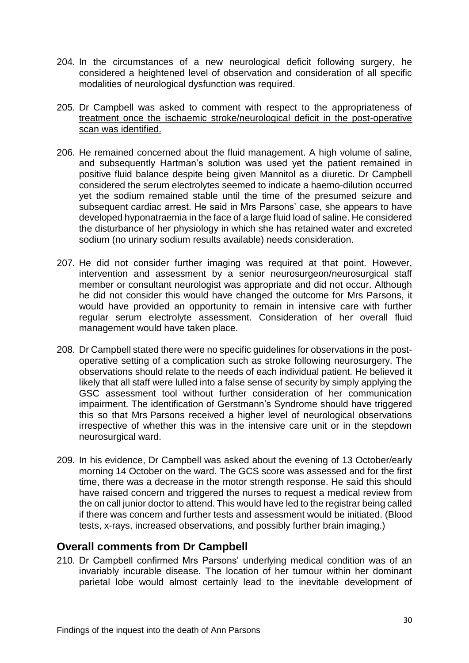- 204. In the circumstances of a new neurological deficit following surgery, he considered a heightened level of observation and consideration of all specific modalities of neurological dysfunction was required.
- 205. Dr Campbell was asked to comment with respect to the appropriateness of treatment once the ischaemic stroke/neurological deficit in the post-operative scan was identified.
- 206. He remained concerned about the fluid management. A high volume of saline, and subsequently Hartman's solution was used yet the patient remained in positive fluid balance despite being given Mannitol as a diuretic. Dr Campbell considered the serum electrolytes seemed to indicate a haemo-dilution occurred yet the sodium remained stable until the time of the presumed seizure and subsequent cardiac arrest. He said in Mrs Parsons' case, she appears to have developed hyponatraemia in the face of a large fluid load of saline. He considered the disturbance of her physiology in which she has retained water and excreted sodium (no urinary sodium results available) needs consideration.
- 207. He did not consider further imaging was required at that point. However, intervention and assessment by a senior neurosurgeon/neurosurgical staff member or consultant neurologist was appropriate and did not occur. Although he did not consider this would have changed the outcome for Mrs Parsons, it would have provided an opportunity to remain in intensive care with further regular serum electrolyte assessment. Consideration of her overall fluid management would have taken place.
- 208. Dr Campbell stated there were no specific guidelines for observations in the postoperative setting of a complication such as stroke following neurosurgery. The observations should relate to the needs of each individual patient. He believed it likely that all staff were lulled into a false sense of security by simply applying the GSC assessment tool without further consideration of her communication impairment. The identification of Gerstmann's Syndrome should have triggered this so that Mrs Parsons received a higher level of neurological observations irrespective of whether this was in the intensive care unit or in the stepdown neurosurgical ward.
- 209. In his evidence, Dr Campbell was asked about the evening of 13 October/early morning 14 October on the ward. The GCS score was assessed and for the first time, there was a decrease in the motor strength response. He said this should have raised concern and triggered the nurses to request a medical review from the on call junior doctor to attend. This would have led to the registrar being called if there was concern and further tests and assessment would be initiated. (Blood tests, x-rays, increased observations, and possibly further brain imaging.)

### <span id="page-31-0"></span>**Overall comments from Dr Campbell**

210. Dr Campbell confirmed Mrs Parsons' underlying medical condition was of an invariably incurable disease. The location of her tumour within her dominant parietal lobe would almost certainly lead to the inevitable development of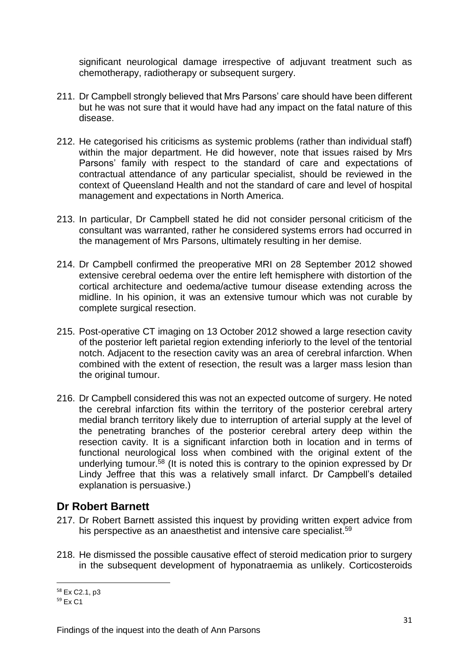significant neurological damage irrespective of adjuvant treatment such as chemotherapy, radiotherapy or subsequent surgery.

- 211. Dr Campbell strongly believed that Mrs Parsons' care should have been different but he was not sure that it would have had any impact on the fatal nature of this disease.
- 212. He categorised his criticisms as systemic problems (rather than individual staff) within the major department. He did however, note that issues raised by Mrs Parsons' family with respect to the standard of care and expectations of contractual attendance of any particular specialist, should be reviewed in the context of Queensland Health and not the standard of care and level of hospital management and expectations in North America.
- 213. In particular, Dr Campbell stated he did not consider personal criticism of the consultant was warranted, rather he considered systems errors had occurred in the management of Mrs Parsons, ultimately resulting in her demise.
- 214. Dr Campbell confirmed the preoperative MRI on 28 September 2012 showed extensive cerebral oedema over the entire left hemisphere with distortion of the cortical architecture and oedema/active tumour disease extending across the midline. In his opinion, it was an extensive tumour which was not curable by complete surgical resection.
- 215. Post-operative CT imaging on 13 October 2012 showed a large resection cavity of the posterior left parietal region extending inferiorly to the level of the tentorial notch. Adjacent to the resection cavity was an area of cerebral infarction. When combined with the extent of resection, the result was a larger mass lesion than the original tumour.
- 216. Dr Campbell considered this was not an expected outcome of surgery. He noted the cerebral infarction fits within the territory of the posterior cerebral artery medial branch territory likely due to interruption of arterial supply at the level of the penetrating branches of the posterior cerebral artery deep within the resection cavity. It is a significant infarction both in location and in terms of functional neurological loss when combined with the original extent of the underlying tumour. $58$  (It is noted this is contrary to the opinion expressed by Dr Lindy Jeffree that this was a relatively small infarct. Dr Campbell's detailed explanation is persuasive.)

### <span id="page-32-0"></span>**Dr Robert Barnett**

- 217. Dr Robert Barnett assisted this inquest by providing written expert advice from his perspective as an anaesthetist and intensive care specialist.<sup>59</sup>
- 218. He dismissed the possible causative effect of steroid medication prior to surgery in the subsequent development of hyponatraemia as unlikely. Corticosteroids

1

<sup>58</sup> Ex C2.1, p3

<sup>59</sup> Ex C1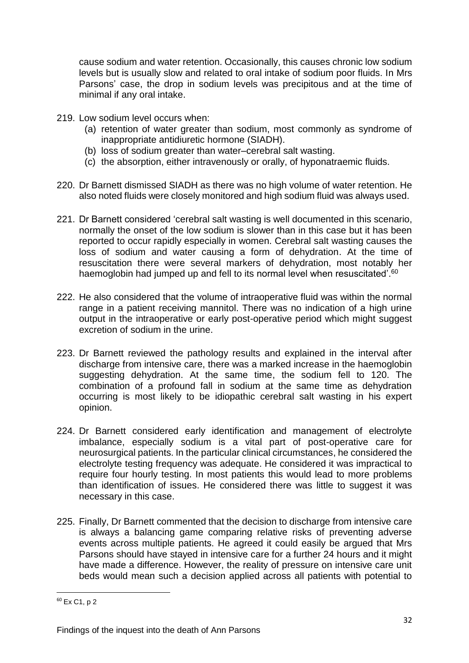cause sodium and water retention. Occasionally, this causes chronic low sodium levels but is usually slow and related to oral intake of sodium poor fluids. In Mrs Parsons' case, the drop in sodium levels was precipitous and at the time of minimal if any oral intake.

- 219. Low sodium level occurs when:
	- (a) retention of water greater than sodium, most commonly as syndrome of inappropriate antidiuretic hormone (SIADH).
	- (b) loss of sodium greater than water–cerebral salt wasting.
	- (c) the absorption, either intravenously or orally, of hyponatraemic fluids.
- 220. Dr Barnett dismissed SIADH as there was no high volume of water retention. He also noted fluids were closely monitored and high sodium fluid was always used.
- 221. Dr Barnett considered 'cerebral salt wasting is well documented in this scenario, normally the onset of the low sodium is slower than in this case but it has been reported to occur rapidly especially in women. Cerebral salt wasting causes the loss of sodium and water causing a form of dehydration. At the time of resuscitation there were several markers of dehydration, most notably her haemoglobin had jumped up and fell to its normal level when resuscitated<sup>'.60</sup>
- 222. He also considered that the volume of intraoperative fluid was within the normal range in a patient receiving mannitol. There was no indication of a high urine output in the intraoperative or early post-operative period which might suggest excretion of sodium in the urine.
- 223. Dr Barnett reviewed the pathology results and explained in the interval after discharge from intensive care, there was a marked increase in the haemoglobin suggesting dehydration. At the same time, the sodium fell to 120. The combination of a profound fall in sodium at the same time as dehydration occurring is most likely to be idiopathic cerebral salt wasting in his expert opinion.
- 224. Dr Barnett considered early identification and management of electrolyte imbalance, especially sodium is a vital part of post-operative care for neurosurgical patients. In the particular clinical circumstances, he considered the electrolyte testing frequency was adequate. He considered it was impractical to require four hourly testing. In most patients this would lead to more problems than identification of issues. He considered there was little to suggest it was necessary in this case.
- 225. Finally, Dr Barnett commented that the decision to discharge from intensive care is always a balancing game comparing relative risks of preventing adverse events across multiple patients. He agreed it could easily be argued that Mrs Parsons should have stayed in intensive care for a further 24 hours and it might have made a difference. However, the reality of pressure on intensive care unit beds would mean such a decision applied across all patients with potential to

 $60$  Ex C<sub>1</sub>, p 2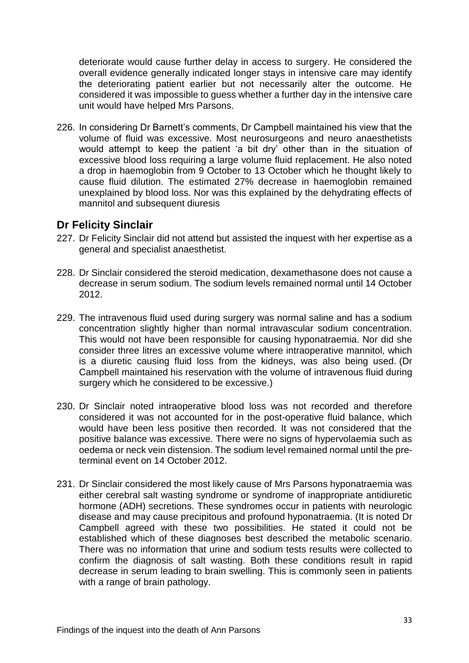deteriorate would cause further delay in access to surgery. He considered the overall evidence generally indicated longer stays in intensive care may identify the deteriorating patient earlier but not necessarily alter the outcome. He considered it was impossible to guess whether a further day in the intensive care unit would have helped Mrs Parsons.

226. In considering Dr Barnett's comments, Dr Campbell maintained his view that the volume of fluid was excessive. Most neurosurgeons and neuro anaesthetists would attempt to keep the patient 'a bit dry' other than in the situation of excessive blood loss requiring a large volume fluid replacement. He also noted a drop in haemoglobin from 9 October to 13 October which he thought likely to cause fluid dilution. The estimated 27% decrease in haemoglobin remained unexplained by blood loss. Nor was this explained by the dehydrating effects of mannitol and subsequent diuresis

### <span id="page-34-0"></span>**Dr Felicity Sinclair**

- 227. Dr Felicity Sinclair did not attend but assisted the inquest with her expertise as a general and specialist anaesthetist.
- 228. Dr Sinclair considered the steroid medication, dexamethasone does not cause a decrease in serum sodium. The sodium levels remained normal until 14 October 2012.
- 229. The intravenous fluid used during surgery was normal saline and has a sodium concentration slightly higher than normal intravascular sodium concentration. This would not have been responsible for causing hyponatraemia. Nor did she consider three litres an excessive volume where intraoperative mannitol, which is a diuretic causing fluid loss from the kidneys, was also being used. (Dr Campbell maintained his reservation with the volume of intravenous fluid during surgery which he considered to be excessive.)
- 230. Dr Sinclair noted intraoperative blood loss was not recorded and therefore considered it was not accounted for in the post-operative fluid balance, which would have been less positive then recorded. It was not considered that the positive balance was excessive. There were no signs of hypervolaemia such as oedema or neck vein distension. The sodium level remained normal until the preterminal event on 14 October 2012.
- 231. Dr Sinclair considered the most likely cause of Mrs Parsons hyponatraemia was either cerebral salt wasting syndrome or syndrome of inappropriate antidiuretic hormone (ADH) secretions. These syndromes occur in patients with neurologic disease and may cause precipitous and profound hyponatraemia. (It is noted Dr Campbell agreed with these two possibilities. He stated it could not be established which of these diagnoses best described the metabolic scenario. There was no information that urine and sodium tests results were collected to confirm the diagnosis of salt wasting. Both these conditions result in rapid decrease in serum leading to brain swelling. This is commonly seen in patients with a range of brain pathology.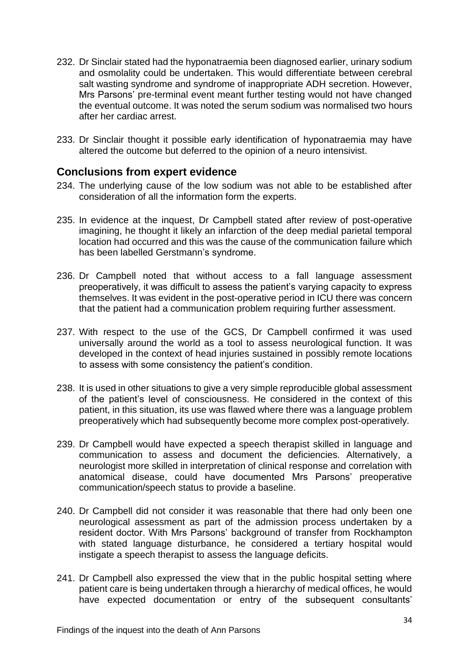- 232. Dr Sinclair stated had the hyponatraemia been diagnosed earlier, urinary sodium and osmolality could be undertaken. This would differentiate between cerebral salt wasting syndrome and syndrome of inappropriate ADH secretion. However, Mrs Parsons' pre-terminal event meant further testing would not have changed the eventual outcome. It was noted the serum sodium was normalised two hours after her cardiac arrest.
- 233. Dr Sinclair thought it possible early identification of hyponatraemia may have altered the outcome but deferred to the opinion of a neuro intensivist.

### <span id="page-35-0"></span>**Conclusions from expert evidence**

- 234. The underlying cause of the low sodium was not able to be established after consideration of all the information form the experts.
- 235. In evidence at the inquest, Dr Campbell stated after review of post-operative imagining, he thought it likely an infarction of the deep medial parietal temporal location had occurred and this was the cause of the communication failure which has been labelled Gerstmann's syndrome.
- 236. Dr Campbell noted that without access to a fall language assessment preoperatively, it was difficult to assess the patient's varying capacity to express themselves. It was evident in the post-operative period in ICU there was concern that the patient had a communication problem requiring further assessment.
- 237. With respect to the use of the GCS, Dr Campbell confirmed it was used universally around the world as a tool to assess neurological function. It was developed in the context of head injuries sustained in possibly remote locations to assess with some consistency the patient's condition.
- 238. It is used in other situations to give a very simple reproducible global assessment of the patient's level of consciousness. He considered in the context of this patient, in this situation, its use was flawed where there was a language problem preoperatively which had subsequently become more complex post-operatively.
- 239. Dr Campbell would have expected a speech therapist skilled in language and communication to assess and document the deficiencies. Alternatively, a neurologist more skilled in interpretation of clinical response and correlation with anatomical disease, could have documented Mrs Parsons' preoperative communication/speech status to provide a baseline.
- 240. Dr Campbell did not consider it was reasonable that there had only been one neurological assessment as part of the admission process undertaken by a resident doctor. With Mrs Parsons' background of transfer from Rockhampton with stated language disturbance, he considered a tertiary hospital would instigate a speech therapist to assess the language deficits.
- 241. Dr Campbell also expressed the view that in the public hospital setting where patient care is being undertaken through a hierarchy of medical offices, he would have expected documentation or entry of the subsequent consultants'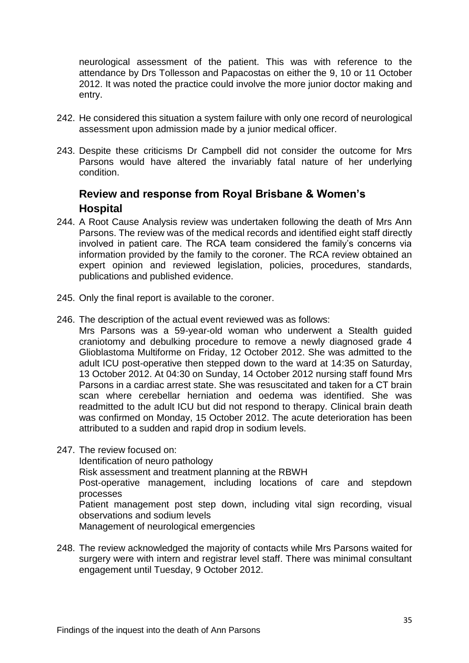neurological assessment of the patient. This was with reference to the attendance by Drs Tollesson and Papacostas on either the 9, 10 or 11 October 2012. It was noted the practice could involve the more junior doctor making and entry.

- 242. He considered this situation a system failure with only one record of neurological assessment upon admission made by a junior medical officer.
- 243. Despite these criticisms Dr Campbell did not consider the outcome for Mrs Parsons would have altered the invariably fatal nature of her underlying condition.

### <span id="page-36-0"></span>**Review and response from Royal Brisbane & Women's Hospital**

- 244. A Root Cause Analysis review was undertaken following the death of Mrs Ann Parsons. The review was of the medical records and identified eight staff directly involved in patient care. The RCA team considered the family's concerns via information provided by the family to the coroner. The RCA review obtained an expert opinion and reviewed legislation, policies, procedures, standards, publications and published evidence.
- 245. Only the final report is available to the coroner.
- 246. The description of the actual event reviewed was as follows:

Mrs Parsons was a 59-year-old woman who underwent a Stealth guided craniotomy and debulking procedure to remove a newly diagnosed grade 4 Glioblastoma Multiforme on Friday, 12 October 2012. She was admitted to the adult ICU post-operative then stepped down to the ward at 14:35 on Saturday, 13 October 2012. At 04:30 on Sunday, 14 October 2012 nursing staff found Mrs Parsons in a cardiac arrest state. She was resuscitated and taken for a CT brain scan where cerebellar herniation and oedema was identified. She was readmitted to the adult ICU but did not respond to therapy. Clinical brain death was confirmed on Monday, 15 October 2012. The acute deterioration has been attributed to a sudden and rapid drop in sodium levels.

247. The review focused on:

Identification of neuro pathology

Risk assessment and treatment planning at the RBWH

Post-operative management, including locations of care and stepdown processes

Patient management post step down, including vital sign recording, visual observations and sodium levels

Management of neurological emergencies

248. The review acknowledged the majority of contacts while Mrs Parsons waited for surgery were with intern and registrar level staff. There was minimal consultant engagement until Tuesday, 9 October 2012.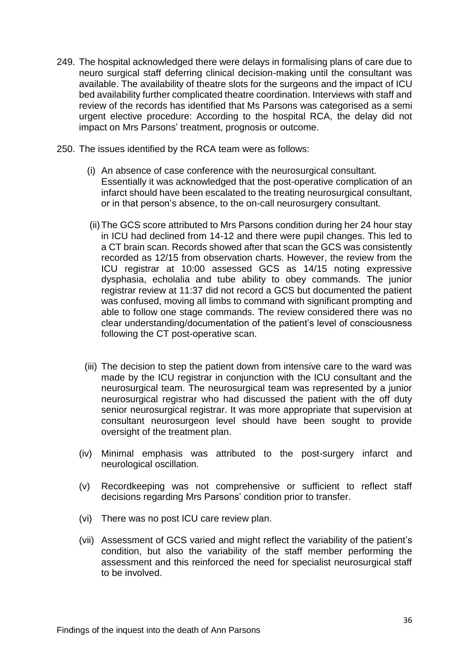- 249. The hospital acknowledged there were delays in formalising plans of care due to neuro surgical staff deferring clinical decision-making until the consultant was available. The availability of theatre slots for the surgeons and the impact of ICU bed availability further complicated theatre coordination. Interviews with staff and review of the records has identified that Ms Parsons was categorised as a semi urgent elective procedure: According to the hospital RCA, the delay did not impact on Mrs Parsons' treatment, prognosis or outcome.
- 250. The issues identified by the RCA team were as follows:
	- (i) An absence of case conference with the neurosurgical consultant. Essentially it was acknowledged that the post-operative complication of an infarct should have been escalated to the treating neurosurgical consultant, or in that person's absence, to the on-call neurosurgery consultant.
	- (ii)The GCS score attributed to Mrs Parsons condition during her 24 hour stay in ICU had declined from 14-12 and there were pupil changes. This led to a CT brain scan. Records showed after that scan the GCS was consistently recorded as 12/15 from observation charts. However, the review from the ICU registrar at 10:00 assessed GCS as 14/15 noting expressive dysphasia, echolalia and tube ability to obey commands. The junior registrar review at 11:37 did not record a GCS but documented the patient was confused, moving all limbs to command with significant prompting and able to follow one stage commands. The review considered there was no clear understanding/documentation of the patient's level of consciousness following the CT post-operative scan.
	- (iii) The decision to step the patient down from intensive care to the ward was made by the ICU registrar in conjunction with the ICU consultant and the neurosurgical team. The neurosurgical team was represented by a junior neurosurgical registrar who had discussed the patient with the off duty senior neurosurgical registrar. It was more appropriate that supervision at consultant neurosurgeon level should have been sought to provide oversight of the treatment plan.
	- (iv) Minimal emphasis was attributed to the post-surgery infarct and neurological oscillation.
	- (v) Recordkeeping was not comprehensive or sufficient to reflect staff decisions regarding Mrs Parsons' condition prior to transfer.
	- (vi) There was no post ICU care review plan.
	- (vii) Assessment of GCS varied and might reflect the variability of the patient's condition, but also the variability of the staff member performing the assessment and this reinforced the need for specialist neurosurgical staff to be involved.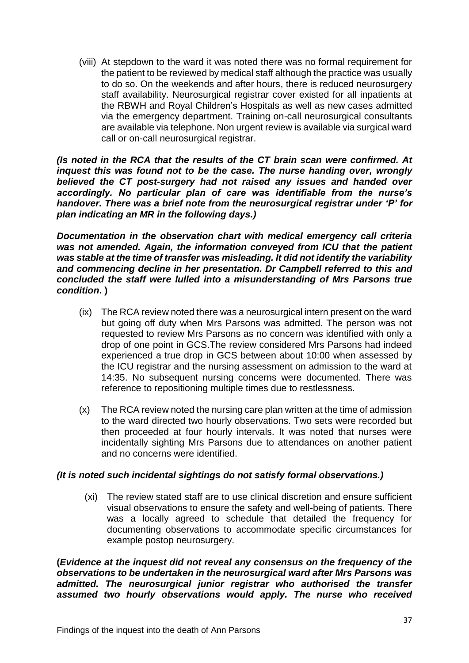(viii) At stepdown to the ward it was noted there was no formal requirement for the patient to be reviewed by medical staff although the practice was usually to do so. On the weekends and after hours, there is reduced neurosurgery staff availability. Neurosurgical registrar cover existed for all inpatients at the RBWH and Royal Children's Hospitals as well as new cases admitted via the emergency department. Training on-call neurosurgical consultants are available via telephone. Non urgent review is available via surgical ward call or on-call neurosurgical registrar.

*(Is noted in the RCA that the results of the CT brain scan were confirmed. At inquest this was found not to be the case. The nurse handing over, wrongly believed the CT post-surgery had not raised any issues and handed over accordingly. No particular plan of care was identifiable from the nurse's handover. There was a brief note from the neurosurgical registrar under 'P' for plan indicating an MR in the following days.)*

*Documentation in the observation chart with medical emergency call criteria was not amended. Again, the information conveyed from ICU that the patient was stable at the time of transfer was misleading. It did not identify the variability and commencing decline in her presentation. Dr Campbell referred to this and concluded the staff were lulled into a misunderstanding of Mrs Parsons true condition***. )**

- (ix) The RCA review noted there was a neurosurgical intern present on the ward but going off duty when Mrs Parsons was admitted. The person was not requested to review Mrs Parsons as no concern was identified with only a drop of one point in GCS.The review considered Mrs Parsons had indeed experienced a true drop in GCS between about 10:00 when assessed by the ICU registrar and the nursing assessment on admission to the ward at 14:35. No subsequent nursing concerns were documented. There was reference to repositioning multiple times due to restlessness.
- (x) The RCA review noted the nursing care plan written at the time of admission to the ward directed two hourly observations. Two sets were recorded but then proceeded at four hourly intervals. It was noted that nurses were incidentally sighting Mrs Parsons due to attendances on another patient and no concerns were identified.

#### *(It is noted such incidental sightings do not satisfy formal observations.)*

(xi) The review stated staff are to use clinical discretion and ensure sufficient visual observations to ensure the safety and well-being of patients. There was a locally agreed to schedule that detailed the frequency for documenting observations to accommodate specific circumstances for example postop neurosurgery.

**(***Evidence at the inquest did not reveal any consensus on the frequency of the observations to be undertaken in the neurosurgical ward after Mrs Parsons was admitted. The neurosurgical junior registrar who authorised the transfer assumed two hourly observations would apply. The nurse who received*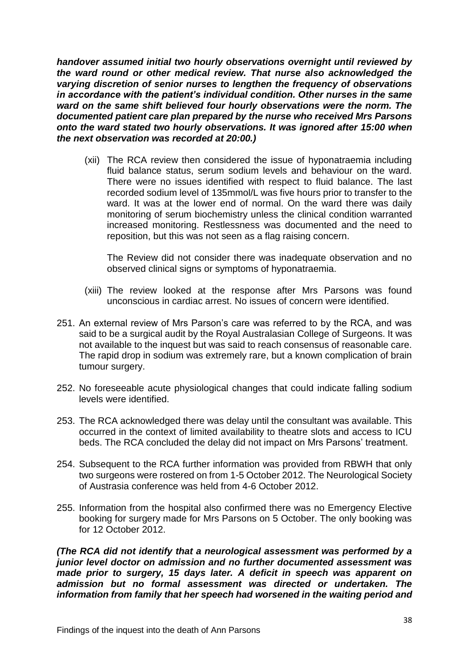*handover assumed initial two hourly observations overnight until reviewed by the ward round or other medical review. That nurse also acknowledged the varying discretion of senior nurses to lengthen the frequency of observations in accordance with the patient's individual condition. Other nurses in the same ward on the same shift believed four hourly observations were the norm. The documented patient care plan prepared by the nurse who received Mrs Parsons onto the ward stated two hourly observations. It was ignored after 15:00 when the next observation was recorded at 20:00.)*

(xii) The RCA review then considered the issue of hyponatraemia including fluid balance status, serum sodium levels and behaviour on the ward. There were no issues identified with respect to fluid balance. The last recorded sodium level of 135mmol/L was five hours prior to transfer to the ward. It was at the lower end of normal. On the ward there was daily monitoring of serum biochemistry unless the clinical condition warranted increased monitoring. Restlessness was documented and the need to reposition, but this was not seen as a flag raising concern.

The Review did not consider there was inadequate observation and no observed clinical signs or symptoms of hyponatraemia.

- (xiii) The review looked at the response after Mrs Parsons was found unconscious in cardiac arrest. No issues of concern were identified.
- 251. An external review of Mrs Parson's care was referred to by the RCA, and was said to be a surgical audit by the Royal Australasian College of Surgeons. It was not available to the inquest but was said to reach consensus of reasonable care. The rapid drop in sodium was extremely rare, but a known complication of brain tumour surgery.
- 252. No foreseeable acute physiological changes that could indicate falling sodium levels were identified.
- 253. The RCA acknowledged there was delay until the consultant was available. This occurred in the context of limited availability to theatre slots and access to ICU beds. The RCA concluded the delay did not impact on Mrs Parsons' treatment.
- 254. Subsequent to the RCA further information was provided from RBWH that only two surgeons were rostered on from 1-5 October 2012. The Neurological Society of Austrasia conference was held from 4-6 October 2012.
- 255. Information from the hospital also confirmed there was no Emergency Elective booking for surgery made for Mrs Parsons on 5 October. The only booking was for 12 October 2012.

*(The RCA did not identify that a neurological assessment was performed by a junior level doctor on admission and no further documented assessment was made prior to surgery, 15 days later. A deficit in speech was apparent on admission but no formal assessment was directed or undertaken. The information from family that her speech had worsened in the waiting period and*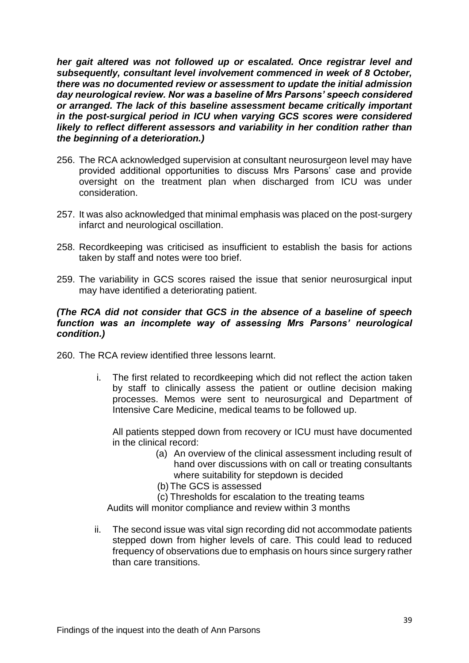*her gait altered was not followed up or escalated. Once registrar level and subsequently, consultant level involvement commenced in week of 8 October, there was no documented review or assessment to update the initial admission day neurological review. Nor was a baseline of Mrs Parsons' speech considered or arranged. The lack of this baseline assessment became critically important in the post-surgical period in ICU when varying GCS scores were considered likely to reflect different assessors and variability in her condition rather than the beginning of a deterioration.)*

- 256. The RCA acknowledged supervision at consultant neurosurgeon level may have provided additional opportunities to discuss Mrs Parsons' case and provide oversight on the treatment plan when discharged from ICU was under consideration.
- 257. It was also acknowledged that minimal emphasis was placed on the post-surgery infarct and neurological oscillation.
- 258. Recordkeeping was criticised as insufficient to establish the basis for actions taken by staff and notes were too brief.
- 259. The variability in GCS scores raised the issue that senior neurosurgical input may have identified a deteriorating patient.

#### *(The RCA did not consider that GCS in the absence of a baseline of speech function was an incomplete way of assessing Mrs Parsons' neurological condition.)*

260. The RCA review identified three lessons learnt.

i. The first related to recordkeeping which did not reflect the action taken by staff to clinically assess the patient or outline decision making processes. Memos were sent to neurosurgical and Department of Intensive Care Medicine, medical teams to be followed up.

All patients stepped down from recovery or ICU must have documented in the clinical record:

- (a) An overview of the clinical assessment including result of hand over discussions with on call or treating consultants where suitability for stepdown is decided
- (b)The GCS is assessed
- (c) Thresholds for escalation to the treating teams

Audits will monitor compliance and review within 3 months

ii. The second issue was vital sign recording did not accommodate patients stepped down from higher levels of care. This could lead to reduced frequency of observations due to emphasis on hours since surgery rather than care transitions.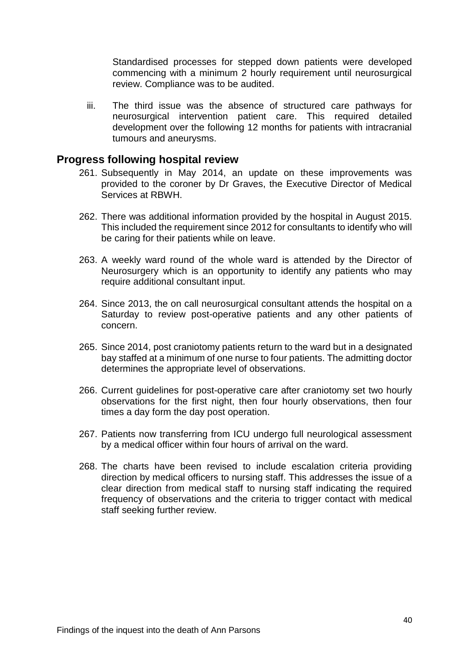Standardised processes for stepped down patients were developed commencing with a minimum 2 hourly requirement until neurosurgical review. Compliance was to be audited.

iii. The third issue was the absence of structured care pathways for neurosurgical intervention patient care. This required detailed development over the following 12 months for patients with intracranial tumours and aneurysms.

### <span id="page-41-0"></span>**Progress following hospital review**

- 261. Subsequently in May 2014, an update on these improvements was provided to the coroner by Dr Graves, the Executive Director of Medical Services at RBWH.
- 262. There was additional information provided by the hospital in August 2015. This included the requirement since 2012 for consultants to identify who will be caring for their patients while on leave.
- 263. A weekly ward round of the whole ward is attended by the Director of Neurosurgery which is an opportunity to identify any patients who may require additional consultant input.
- 264. Since 2013, the on call neurosurgical consultant attends the hospital on a Saturday to review post-operative patients and any other patients of concern.
- 265. Since 2014, post craniotomy patients return to the ward but in a designated bay staffed at a minimum of one nurse to four patients. The admitting doctor determines the appropriate level of observations.
- 266. Current guidelines for post-operative care after craniotomy set two hourly observations for the first night, then four hourly observations, then four times a day form the day post operation.
- 267. Patients now transferring from ICU undergo full neurological assessment by a medical officer within four hours of arrival on the ward.
- 268. The charts have been revised to include escalation criteria providing direction by medical officers to nursing staff. This addresses the issue of a clear direction from medical staff to nursing staff indicating the required frequency of observations and the criteria to trigger contact with medical staff seeking further review.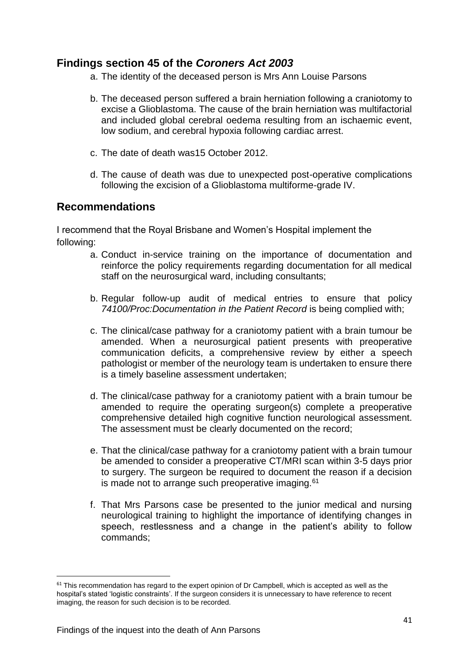### <span id="page-42-0"></span>**Findings section 45 of the** *Coroners Act 2003*

- a. The identity of the deceased person is Mrs Ann Louise Parsons
- b. The deceased person suffered a brain herniation following a craniotomy to excise a Glioblastoma. The cause of the brain herniation was multifactorial and included global cerebral oedema resulting from an ischaemic event, low sodium, and cerebral hypoxia following cardiac arrest.
- c. The date of death was15 October 2012.
- d. The cause of death was due to unexpected post-operative complications following the excision of a Glioblastoma multiforme-grade IV.

### <span id="page-42-1"></span>**Recommendations**

<span id="page-42-2"></span>I recommend that the Royal Brisbane and Women's Hospital implement the following:

- a. Conduct in-service training on the importance of documentation and reinforce the policy requirements regarding documentation for all medical staff on the neurosurgical ward, including consultants;
- b. Regular follow-up audit of medical entries to ensure that policy *74100/Proc:Documentation in the Patient Record* is being complied with;
- c. The clinical/case pathway for a craniotomy patient with a brain tumour be amended. When a neurosurgical patient presents with preoperative communication deficits, a comprehensive review by either a speech pathologist or member of the neurology team is undertaken to ensure there is a timely baseline assessment undertaken;
- d. The clinical/case pathway for a craniotomy patient with a brain tumour be amended to require the operating surgeon(s) complete a preoperative comprehensive detailed high cognitive function neurological assessment. The assessment must be clearly documented on the record;
- e. That the clinical/case pathway for a craniotomy patient with a brain tumour be amended to consider a preoperative CT/MRI scan within 3-5 days prior to surgery. The surgeon be required to document the reason if a decision is made not to arrange such preoperative imaging.<sup>61</sup>
- f. That Mrs Parsons case be presented to the junior medical and nursing neurological training to highlight the importance of identifying changes in speech, restlessness and a change in the patient's ability to follow commands;

 $61$  This recommendation has regard to the expert opinion of Dr Campbell, which is accepted as well as the hospital's stated 'logistic constraints'. If the surgeon considers it is unnecessary to have reference to recent imaging, the reason for such decision is to be recorded.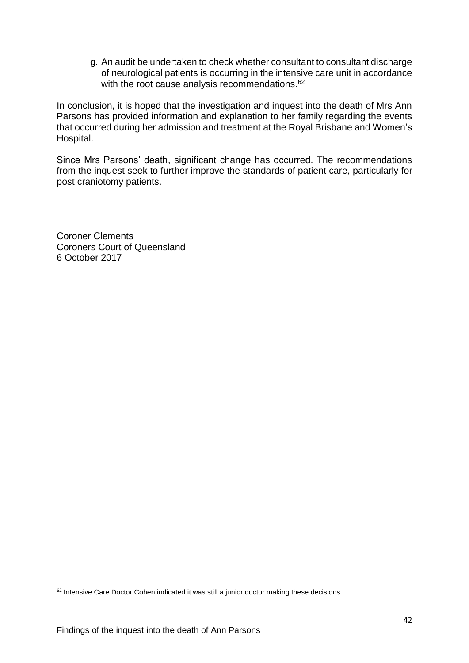g. An audit be undertaken to check whether consultant to consultant discharge of neurological patients is occurring in the intensive care unit in accordance with the root cause analysis recommendations.<sup>62</sup>

In conclusion, it is hoped that the investigation and inquest into the death of Mrs Ann Parsons has provided information and explanation to her family regarding the events that occurred during her admission and treatment at the Royal Brisbane and Women's Hospital.

Since Mrs Parsons' death, significant change has occurred. The recommendations from the inquest seek to further improve the standards of patient care, particularly for post craniotomy patients.

Coroner Clements Coroners Court of Queensland 6 October 2017

1

<sup>&</sup>lt;sup>62</sup> Intensive Care Doctor Cohen indicated it was still a junior doctor making these decisions.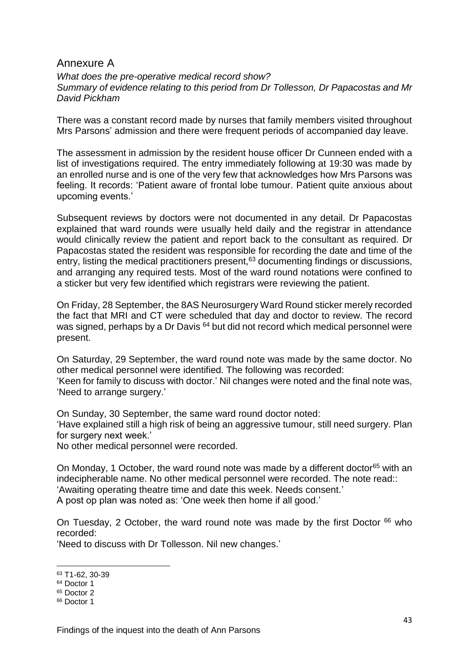### <span id="page-44-0"></span>Annexure A

*What does the pre-operative medical record show? Summary of evidence relating to this period from Dr Tollesson, Dr Papacostas and Mr David Pickham*

There was a constant record made by nurses that family members visited throughout Mrs Parsons' admission and there were frequent periods of accompanied day leave.

The assessment in admission by the resident house officer Dr Cunneen ended with a list of investigations required. The entry immediately following at 19:30 was made by an enrolled nurse and is one of the very few that acknowledges how Mrs Parsons was feeling. It records: 'Patient aware of frontal lobe tumour. Patient quite anxious about upcoming events.'

Subsequent reviews by doctors were not documented in any detail. Dr Papacostas explained that ward rounds were usually held daily and the registrar in attendance would clinically review the patient and report back to the consultant as required. Dr Papacostas stated the resident was responsible for recording the date and time of the entry, listing the medical practitioners present,  $63$  documenting findings or discussions, and arranging any required tests. Most of the ward round notations were confined to a sticker but very few identified which registrars were reviewing the patient.

On Friday, 28 September, the 8AS Neurosurgery Ward Round sticker merely recorded the fact that MRI and CT were scheduled that day and doctor to review. The record was signed, perhaps by a Dr Davis <sup>64</sup> but did not record which medical personnel were present.

On Saturday, 29 September, the ward round note was made by the same doctor. No other medical personnel were identified. The following was recorded: 'Keen for family to discuss with doctor.' Nil changes were noted and the final note was, 'Need to arrange surgery.'

On Sunday, 30 September, the same ward round doctor noted: 'Have explained still a high risk of being an aggressive tumour, still need surgery. Plan for surgery next week.'

No other medical personnel were recorded.

On Monday, 1 October, the ward round note was made by a different doctor<sup>65</sup> with an indecipherable name. No other medical personnel were recorded. The note read:: 'Awaiting operating theatre time and date this week. Needs consent.' A post op plan was noted as: 'One week then home if all good.'

On Tuesday, 2 October, the ward round note was made by the first Doctor  $66$  who recorded:

'Need to discuss with Dr Tollesson. Nil new changes.'

<sup>63</sup> T1-62, 30-39

<sup>64</sup> Doctor 1

<sup>65</sup> Doctor 2

<sup>66</sup> Doctor 1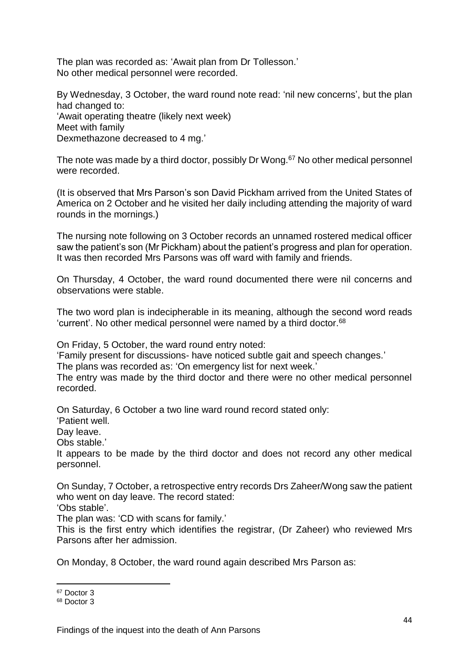The plan was recorded as: 'Await plan from Dr Tollesson.' No other medical personnel were recorded.

By Wednesday, 3 October, the ward round note read: 'nil new concerns', but the plan had changed to: 'Await operating theatre (likely next week) Meet with family Dexmethazone decreased to 4 mg.'

The note was made by a third doctor, possibly Dr Wong.<sup>67</sup> No other medical personnel were recorded.

(It is observed that Mrs Parson's son David Pickham arrived from the United States of America on 2 October and he visited her daily including attending the majority of ward rounds in the mornings.)

The nursing note following on 3 October records an unnamed rostered medical officer saw the patient's son (Mr Pickham) about the patient's progress and plan for operation. It was then recorded Mrs Parsons was off ward with family and friends.

On Thursday, 4 October, the ward round documented there were nil concerns and observations were stable.

The two word plan is indecipherable in its meaning, although the second word reads 'current'. No other medical personnel were named by a third doctor.<sup>68</sup>

On Friday, 5 October, the ward round entry noted:

'Family present for discussions- have noticed subtle gait and speech changes.'

The plans was recorded as: 'On emergency list for next week.'

The entry was made by the third doctor and there were no other medical personnel recorded.

On Saturday, 6 October a two line ward round record stated only:

'Patient well.

Day leave.

Obs stable.'

It appears to be made by the third doctor and does not record any other medical personnel.

On Sunday, 7 October, a retrospective entry records Drs Zaheer/Wong saw the patient who went on day leave. The record stated:

'Obs stable'.

The plan was: 'CD with scans for family.'

This is the first entry which identifies the registrar, (Dr Zaheer) who reviewed Mrs Parsons after her admission.

On Monday, 8 October, the ward round again described Mrs Parson as:

<sup>67</sup> Doctor 3

<sup>68</sup> Doctor 3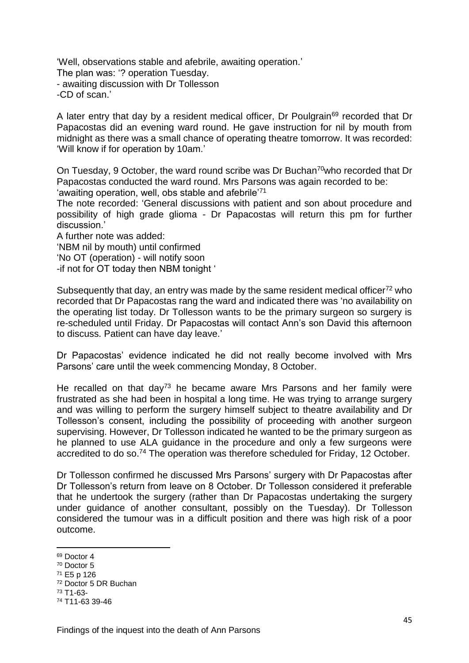'Well, observations stable and afebrile, awaiting operation.' The plan was: '? operation Tuesday. - awaiting discussion with Dr Tollesson -CD of scan.'

A later entry that day by a resident medical officer, Dr Poulgrain<sup>69</sup> recorded that Dr Papacostas did an evening ward round. He gave instruction for nil by mouth from midnight as there was a small chance of operating theatre tomorrow. It was recorded: 'Will know if for operation by 10am.'

On Tuesday, 9 October, the ward round scribe was Dr Buchan<sup>70</sup>who recorded that Dr Papacostas conducted the ward round. Mrs Parsons was again recorded to be:

'awaiting operation, well, obs stable and afebrile'<sup>71</sup>

The note recorded: 'General discussions with patient and son about procedure and possibility of high grade glioma - Dr Papacostas will return this pm for further discussion.'

A further note was added:

'NBM nil by mouth) until confirmed

'No OT (operation) - will notify soon

-if not for OT today then NBM tonight '

Subsequently that day, an entry was made by the same resident medical officer<sup>72</sup> who recorded that Dr Papacostas rang the ward and indicated there was 'no availability on the operating list today. Dr Tollesson wants to be the primary surgeon so surgery is re-scheduled until Friday. Dr Papacostas will contact Ann's son David this afternoon to discuss. Patient can have day leave.'

Dr Papacostas' evidence indicated he did not really become involved with Mrs Parsons' care until the week commencing Monday, 8 October.

He recalled on that day<sup>73</sup> he became aware Mrs Parsons and her family were frustrated as she had been in hospital a long time. He was trying to arrange surgery and was willing to perform the surgery himself subject to theatre availability and Dr Tollesson's consent, including the possibility of proceeding with another surgeon supervising. However, Dr Tollesson indicated he wanted to be the primary surgeon as he planned to use ALA guidance in the procedure and only a few surgeons were accredited to do so.<sup>74</sup> The operation was therefore scheduled for Friday, 12 October.

Dr Tollesson confirmed he discussed Mrs Parsons' surgery with Dr Papacostas after Dr Tollesson's return from leave on 8 October. Dr Tollesson considered it preferable that he undertook the surgery (rather than Dr Papacostas undertaking the surgery under guidance of another consultant, possibly on the Tuesday). Dr Tollesson considered the tumour was in a difficult position and there was high risk of a poor outcome.

1

<sup>72</sup> Doctor 5 DR Buchan

<sup>69</sup> Doctor 4

<sup>70</sup> Doctor 5

<sup>71</sup> E5 p 126

<sup>73</sup> T1-63-

<sup>74</sup> T11-63 39-46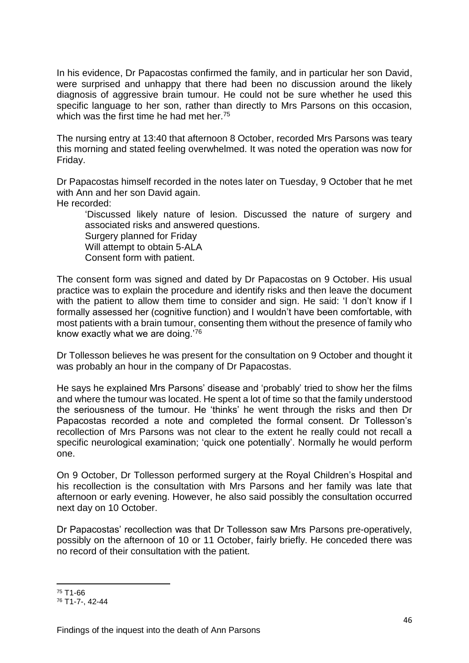In his evidence, Dr Papacostas confirmed the family, and in particular her son David, were surprised and unhappy that there had been no discussion around the likely diagnosis of aggressive brain tumour. He could not be sure whether he used this specific language to her son, rather than directly to Mrs Parsons on this occasion, which was the first time he had met her.<sup>75</sup>

The nursing entry at 13:40 that afternoon 8 October, recorded Mrs Parsons was teary this morning and stated feeling overwhelmed. It was noted the operation was now for Friday.

Dr Papacostas himself recorded in the notes later on Tuesday, 9 October that he met with Ann and her son David again.

He recorded:

'Discussed likely nature of lesion. Discussed the nature of surgery and associated risks and answered questions.

Surgery planned for Friday

Will attempt to obtain 5-ALA

Consent form with patient.

The consent form was signed and dated by Dr Papacostas on 9 October. His usual practice was to explain the procedure and identify risks and then leave the document with the patient to allow them time to consider and sign. He said: 'I don't know if I formally assessed her (cognitive function) and I wouldn't have been comfortable, with most patients with a brain tumour, consenting them without the presence of family who know exactly what we are doing.'<sup>76</sup>

Dr Tollesson believes he was present for the consultation on 9 October and thought it was probably an hour in the company of Dr Papacostas.

He says he explained Mrs Parsons' disease and 'probably' tried to show her the films and where the tumour was located. He spent a lot of time so that the family understood the seriousness of the tumour. He 'thinks' he went through the risks and then Dr Papacostas recorded a note and completed the formal consent. Dr Tollesson's recollection of Mrs Parsons was not clear to the extent he really could not recall a specific neurological examination; 'quick one potentially'. Normally he would perform one.

On 9 October, Dr Tollesson performed surgery at the Royal Children's Hospital and his recollection is the consultation with Mrs Parsons and her family was late that afternoon or early evening. However, he also said possibly the consultation occurred next day on 10 October.

Dr Papacostas' recollection was that Dr Tollesson saw Mrs Parsons pre-operatively, possibly on the afternoon of 10 or 11 October, fairly briefly. He conceded there was no record of their consultation with the patient.

<sup>75</sup> T1-66

<sup>76</sup> T1-7-, 42-44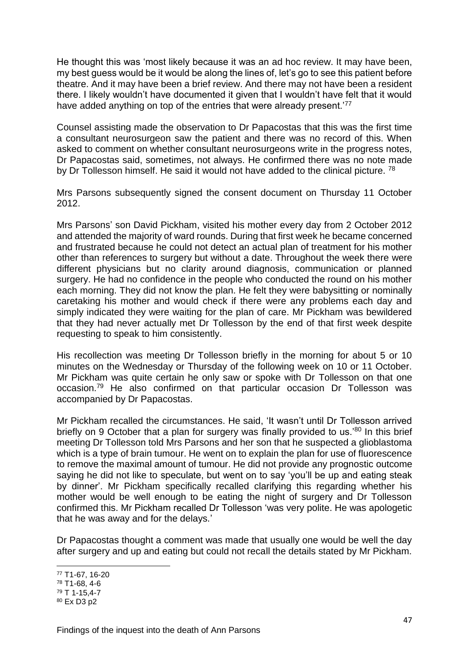He thought this was 'most likely because it was an ad hoc review. It may have been, my best guess would be it would be along the lines of, let's go to see this patient before theatre. And it may have been a brief review. And there may not have been a resident there. I likely wouldn't have documented it given that I wouldn't have felt that it would have added anything on top of the entries that were already present.<sup>77</sup>

Counsel assisting made the observation to Dr Papacostas that this was the first time a consultant neurosurgeon saw the patient and there was no record of this. When asked to comment on whether consultant neurosurgeons write in the progress notes, Dr Papacostas said, sometimes, not always. He confirmed there was no note made by Dr Tollesson himself. He said it would not have added to the clinical picture. <sup>78</sup>

Mrs Parsons subsequently signed the consent document on Thursday 11 October 2012.

Mrs Parsons' son David Pickham, visited his mother every day from 2 October 2012 and attended the majority of ward rounds. During that first week he became concerned and frustrated because he could not detect an actual plan of treatment for his mother other than references to surgery but without a date. Throughout the week there were different physicians but no clarity around diagnosis, communication or planned surgery. He had no confidence in the people who conducted the round on his mother each morning. They did not know the plan. He felt they were babysitting or nominally caretaking his mother and would check if there were any problems each day and simply indicated they were waiting for the plan of care. Mr Pickham was bewildered that they had never actually met Dr Tollesson by the end of that first week despite requesting to speak to him consistently.

His recollection was meeting Dr Tollesson briefly in the morning for about 5 or 10 minutes on the Wednesday or Thursday of the following week on 10 or 11 October. Mr Pickham was quite certain he only saw or spoke with Dr Tollesson on that one occasion.<sup>79</sup> He also confirmed on that particular occasion Dr Tollesson was accompanied by Dr Papacostas.

Mr Pickham recalled the circumstances. He said, 'It wasn't until Dr Tollesson arrived briefly on 9 October that a plan for surgery was finally provided to us.<sup>80</sup> In this brief meeting Dr Tollesson told Mrs Parsons and her son that he suspected a glioblastoma which is a type of brain tumour. He went on to explain the plan for use of fluorescence to remove the maximal amount of tumour. He did not provide any prognostic outcome saying he did not like to speculate, but went on to say 'you'll be up and eating steak by dinner'. Mr Pickham specifically recalled clarifying this regarding whether his mother would be well enough to be eating the night of surgery and Dr Tollesson confirmed this. Mr Pickham recalled Dr Tollesson 'was very polite. He was apologetic that he was away and for the delays.'

Dr Papacostas thought a comment was made that usually one would be well the day after surgery and up and eating but could not recall the details stated by Mr Pickham.

<sup>77</sup> T1-67, 16-20

<sup>78</sup> T1-68, 4-6

<sup>79</sup> T 1-15,4-7

<sup>80</sup> Ex D3 p2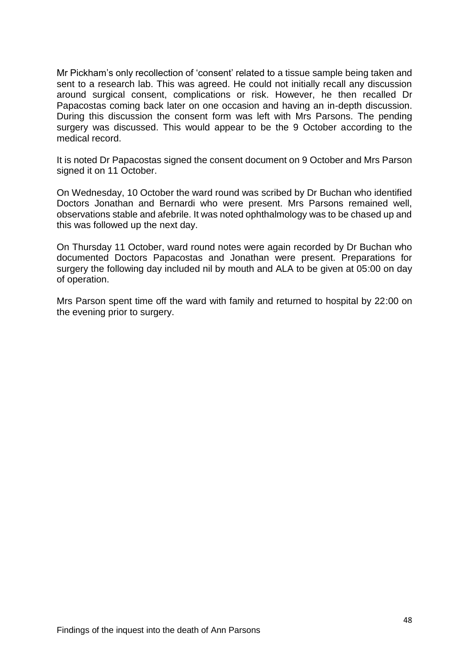Mr Pickham's only recollection of 'consent' related to a tissue sample being taken and sent to a research lab. This was agreed. He could not initially recall any discussion around surgical consent, complications or risk. However, he then recalled Dr Papacostas coming back later on one occasion and having an in-depth discussion. During this discussion the consent form was left with Mrs Parsons. The pending surgery was discussed. This would appear to be the 9 October according to the medical record.

It is noted Dr Papacostas signed the consent document on 9 October and Mrs Parson signed it on 11 October.

On Wednesday, 10 October the ward round was scribed by Dr Buchan who identified Doctors Jonathan and Bernardi who were present. Mrs Parsons remained well, observations stable and afebrile. It was noted ophthalmology was to be chased up and this was followed up the next day.

On Thursday 11 October, ward round notes were again recorded by Dr Buchan who documented Doctors Papacostas and Jonathan were present. Preparations for surgery the following day included nil by mouth and ALA to be given at 05:00 on day of operation.

Mrs Parson spent time off the ward with family and returned to hospital by 22:00 on the evening prior to surgery.